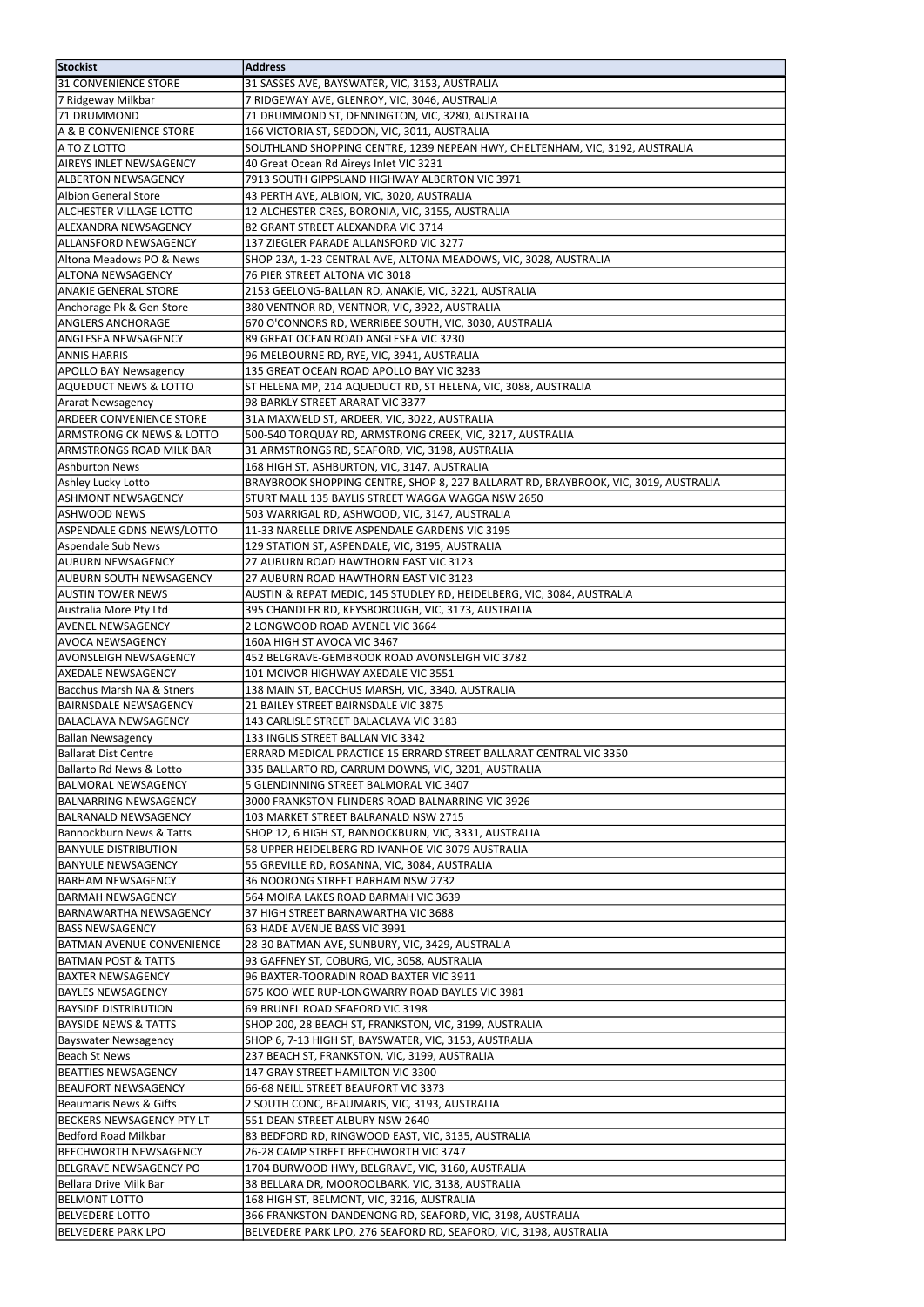| <b>Stockist</b>                                          | <b>Address</b>                                                                      |
|----------------------------------------------------------|-------------------------------------------------------------------------------------|
| 31 CONVENIENCE STORE                                     | 31 SASSES AVE, BAYSWATER, VIC, 3153, AUSTRALIA                                      |
| 7 Ridgeway Milkbar                                       | 7 RIDGEWAY AVE, GLENROY, VIC, 3046, AUSTRALIA                                       |
| 71 DRUMMOND                                              | 71 DRUMMOND ST, DENNINGTON, VIC, 3280, AUSTRALIA                                    |
| A & B CONVENIENCE STORE                                  | 166 VICTORIA ST, SEDDON, VIC, 3011, AUSTRALIA                                       |
| A TO Z LOTTO                                             | SOUTHLAND SHOPPING CENTRE, 1239 NEPEAN HWY, CHELTENHAM, VIC, 3192, AUSTRALIA        |
| <b>AIREYS INLET NEWSAGENCY</b>                           | 40 Great Ocean Rd Aireys Inlet VIC 3231                                             |
| <b>ALBERTON NEWSAGENCY</b>                               | 7913 SOUTH GIPPSLAND HIGHWAY ALBERTON VIC 3971                                      |
| Albion General Store                                     | 43 PERTH AVE, ALBION, VIC, 3020, AUSTRALIA                                          |
| <b>ALCHESTER VILLAGE LOTTO</b>                           | 12 ALCHESTER CRES, BORONIA, VIC, 3155, AUSTRALIA                                    |
| <b>ALEXANDRA NEWSAGENCY</b>                              | 82 GRANT STREET ALEXANDRA VIC 3714                                                  |
| <b>ALLANSFORD NEWSAGENCY</b>                             | 137 ZIEGLER PARADE ALLANSFORD VIC 3277                                              |
| Altona Meadows PO & News                                 | SHOP 23A, 1-23 CENTRAL AVE, ALTONA MEADOWS, VIC, 3028, AUSTRALIA                    |
| <b>ALTONA NEWSAGENCY</b>                                 | 76 PIER STREET ALTONA VIC 3018                                                      |
| <b>ANAKIE GENERAL STORE</b>                              | 2153 GEELONG-BALLAN RD, ANAKIE, VIC, 3221, AUSTRALIA                                |
| Anchorage Pk & Gen Store                                 | 380 VENTNOR RD, VENTNOR, VIC, 3922, AUSTRALIA                                       |
| <b>ANGLERS ANCHORAGE</b>                                 | 670 O'CONNORS RD, WERRIBEE SOUTH, VIC, 3030, AUSTRALIA                              |
| <b>ANGLESEA NEWSAGENCY</b>                               | 89 GREAT OCEAN ROAD ANGLESEA VIC 3230                                               |
| <b>ANNIS HARRIS</b>                                      | 96 MELBOURNE RD, RYE, VIC, 3941, AUSTRALIA                                          |
| <b>APOLLO BAY Newsagency</b>                             | 135 GREAT OCEAN ROAD APOLLO BAY VIC 3233                                            |
| <b>AQUEDUCT NEWS &amp; LOTTO</b>                         | ST HELENA MP, 214 AQUEDUCT RD, ST HELENA, VIC, 3088, AUSTRALIA                      |
| Ararat Newsagency                                        | 98 BARKLY STREET ARARAT VIC 3377                                                    |
| <b>ARDEER CONVENIENCE STORE</b>                          | 31A MAXWELD ST, ARDEER, VIC, 3022, AUSTRALIA                                        |
| <b>ARMSTRONG CK NEWS &amp; LOTTO</b>                     | 500-540 TORQUAY RD, ARMSTRONG CREEK, VIC, 3217, AUSTRALIA                           |
| ARMSTRONGS ROAD MILK BAR                                 | 31 ARMSTRONGS RD, SEAFORD, VIC, 3198, AUSTRALIA                                     |
| <b>Ashburton News</b>                                    | 168 HIGH ST, ASHBURTON, VIC, 3147, AUSTRALIA                                        |
| Ashley Lucky Lotto                                       | BRAYBROOK SHOPPING CENTRE, SHOP 8, 227 BALLARAT RD, BRAYBROOK, VIC, 3019, AUSTRALIA |
| <b>ASHMONT NEWSAGENCY</b>                                | STURT MALL 135 BAYLIS STREET WAGGA WAGGA NSW 2650                                   |
| <b>ASHWOOD NEWS</b>                                      | 503 WARRIGAL RD, ASHWOOD, VIC, 3147, AUSTRALIA                                      |
| <b>ASPENDALE GDNS NEWS/LOTTO</b>                         | 11-33 NARELLE DRIVE ASPENDALE GARDENS VIC 3195                                      |
| Aspendale Sub News                                       | 129 STATION ST, ASPENDALE, VIC, 3195, AUSTRALIA                                     |
| <b>JAUBURN NEWSAGENCY</b>                                | 27 AUBURN ROAD HAWTHORN EAST VIC 3123                                               |
| <b>AUBURN SOUTH NEWSAGENCY</b>                           | 27 AUBURN ROAD HAWTHORN EAST VIC 3123                                               |
| laustin tower news                                       | AUSTIN & REPAT MEDIC, 145 STUDLEY RD, HEIDELBERG, VIC, 3084, AUSTRALIA              |
| Australia More Pty Ltd                                   | 395 CHANDLER RD, KEYSBOROUGH, VIC, 3173, AUSTRALIA                                  |
| <b>AVENEL NEWSAGENCY</b>                                 | 2 LONGWOOD ROAD AVENEL VIC 3664                                                     |
| <b>AVOCA NEWSAGENCY</b>                                  | 160A HIGH ST AVOCA VIC 3467                                                         |
| AVONSLEIGH NEWSAGENCY                                    | 452 BELGRAVE-GEMBROOK ROAD AVONSLEIGH VIC 3782                                      |
| <b>AXEDALE NEWSAGENCY</b>                                | 101 MCIVOR HIGHWAY AXEDALE VIC 3551                                                 |
| Bacchus Marsh NA & Stners                                | 138 MAIN ST, BACCHUS MARSH, VIC, 3340, AUSTRALIA                                    |
| <b>BAIRNSDALE NEWSAGENCY</b>                             | 21 BAILEY STREET BAIRNSDALE VIC 3875                                                |
| <b>BALACLAVA NEWSAGENCY</b>                              | 143 CARLISLE STREET BALACLAVA VIC 3183                                              |
| Ballan Newsagency                                        | 133 INGLIS STREET BALLAN VIC 3342                                                   |
| Ballarat Dist Centre                                     | ERRARD MEDICAL PRACTICE 15 ERRARD STREET BALLARAT CENTRAL VIC 3350                  |
| Ballarto Rd News & Lotto                                 | 335 BALLARTO RD, CARRUM DOWNS, VIC, 3201, AUSTRALIA                                 |
| <b>BALMORAL NEWSAGENCY</b>                               | 5 GLENDINNING STREET BALMORAL VIC 3407                                              |
| <b>BALNARRING NEWSAGENCY</b>                             | 3000 FRANKSTON-FLINDERS ROAD BALNARRING VIC 3926                                    |
| BALRANALD NEWSAGENCY                                     | 103 MARKET STREET BALRANALD NSW 2715                                                |
| <b>Bannockburn News &amp; Tatts</b>                      | SHOP 12, 6 HIGH ST, BANNOCKBURN, VIC, 3331, AUSTRALIA                               |
| <b>BANYULE DISTRIBUTION</b><br><b>BANYULE NEWSAGENCY</b> | 58 UPPER HEIDELBERG RD IVANHOE VIC 3079 AUSTRALIA                                   |
| <b>BARHAM NEWSAGENCY</b>                                 | 55 GREVILLE RD, ROSANNA, VIC, 3084, AUSTRALIA<br>36 NOORONG STREET BARHAM NSW 2732  |
|                                                          |                                                                                     |
| BARMAH NEWSAGENCY<br><b>BARNAWARTHA NEWSAGENCY</b>       | 564 MOIRA LAKES ROAD BARMAH VIC 3639<br>37 HIGH STREET BARNAWARTHA VIC 3688         |
| <b>BASS NEWSAGENCY</b>                                   | 63 HADE AVENUE BASS VIC 3991                                                        |
| <b>BATMAN AVENUE CONVENIENCE</b>                         | 28-30 BATMAN AVE, SUNBURY, VIC, 3429, AUSTRALIA                                     |
| <b>BATMAN POST &amp; TATTS</b>                           | 93 GAFFNEY ST, COBURG, VIC, 3058, AUSTRALIA                                         |
| <b>BAXTER NEWSAGENCY</b>                                 | 96 BAXTER-TOORADIN ROAD BAXTER VIC 3911                                             |
| <b>BAYLES NEWSAGENCY</b>                                 | 675 KOO WEE RUP-LONGWARRY ROAD BAYLES VIC 3981                                      |
| <b>BAYSIDE DISTRIBUTION</b>                              | 69 BRUNEL ROAD SEAFORD VIC 3198                                                     |
| <b>BAYSIDE NEWS &amp; TATTS</b>                          | SHOP 200, 28 BEACH ST, FRANKSTON, VIC, 3199, AUSTRALIA                              |
| Bayswater Newsagency                                     | SHOP 6, 7-13 HIGH ST, BAYSWATER, VIC, 3153, AUSTRALIA                               |
| Beach St News                                            | 237 BEACH ST, FRANKSTON, VIC, 3199, AUSTRALIA                                       |
| <b>BEATTIES NEWSAGENCY</b>                               | 147 GRAY STREET HAMILTON VIC 3300                                                   |
| BEAUFORT NEWSAGENCY                                      | 66-68 NEILL STREET BEAUFORT VIC 3373                                                |
| Beaumaris News & Gifts                                   | 2 SOUTH CONC, BEAUMARIS, VIC, 3193, AUSTRALIA                                       |
| <b>BECKERS NEWSAGENCY PTY LT</b>                         | 551 DEAN STREET ALBURY NSW 2640                                                     |
| Bedford Road Milkbar                                     | 83 BEDFORD RD, RINGWOOD EAST, VIC, 3135, AUSTRALIA                                  |
| BEECHWORTH NEWSAGENCY                                    | 26-28 CAMP STREET BEECHWORTH VIC 3747                                               |
| BELGRAVE NEWSAGENCY PO                                   | 1704 BURWOOD HWY, BELGRAVE, VIC, 3160, AUSTRALIA                                    |
| Bellara Drive Milk Bar                                   | 38 BELLARA DR, MOOROOLBARK, VIC, 3138, AUSTRALIA                                    |
| <b>BELMONT LOTTO</b>                                     | 168 HIGH ST, BELMONT, VIC, 3216, AUSTRALIA                                          |
| <b>BELVEDERE LOTTO</b>                                   | 366 FRANKSTON-DANDENONG RD, SEAFORD, VIC, 3198, AUSTRALIA                           |
| BELVEDERE PARK LPO                                       | BELVEDERE PARK LPO, 276 SEAFORD RD, SEAFORD, VIC, 3198, AUSTRALIA                   |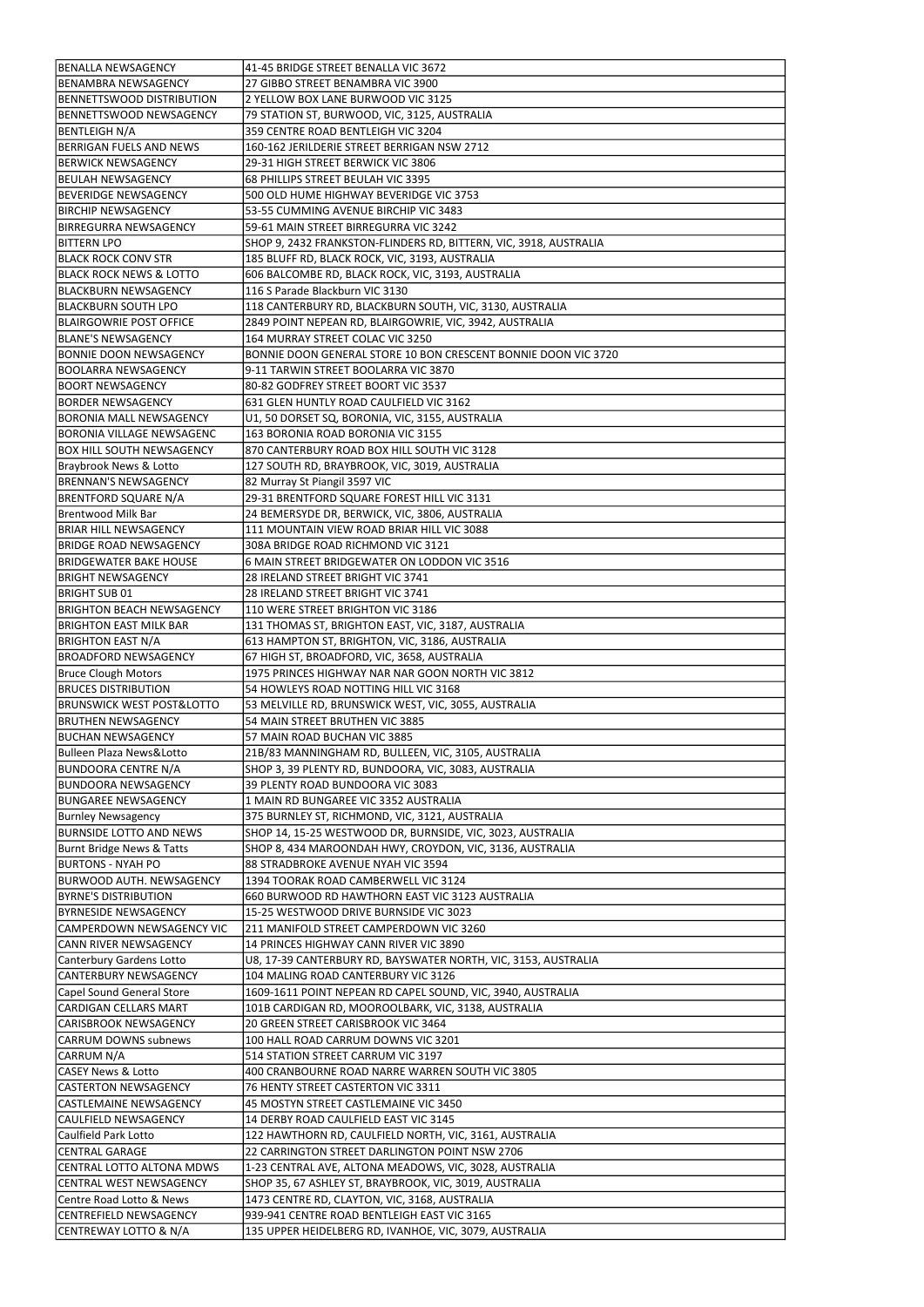| <b>BENALLA NEWSAGENCY</b>            | 41-45 BRIDGE STREET BENALLA VIC 3672                              |
|--------------------------------------|-------------------------------------------------------------------|
|                                      |                                                                   |
| BENAMBRA NEWSAGENCY                  | 27 GIBBO STREET BENAMBRA VIC 3900                                 |
| BENNETTSWOOD DISTRIBUTION            | 2 YELLOW BOX LANE BURWOOD VIC 3125                                |
| BENNETTSWOOD NEWSAGENCY              | 79 STATION ST, BURWOOD, VIC, 3125, AUSTRALIA                      |
| BENTLEIGH N/A                        | 359 CENTRE ROAD BENTLEIGH VIC 3204                                |
| <b>BERRIGAN FUELS AND NEWS</b>       | 160-162 JERILDERIE STREET BERRIGAN NSW 2712                       |
| <b>BERWICK NEWSAGENCY</b>            | 29-31 HIGH STREET BERWICK VIC 3806                                |
| <b>BEULAH NEWSAGENCY</b>             | 68 PHILLIPS STREET BEULAH VIC 3395                                |
|                                      |                                                                   |
| <b>IBEVERIDGE NEWSAGENCY</b>         | 500 OLD HUME HIGHWAY BEVERIDGE VIC 3753                           |
| <b>BIRCHIP NEWSAGENCY</b>            | 53-55 CUMMING AVENUE BIRCHIP VIC 3483                             |
| BIRREGURRA NEWSAGENCY                | 59-61 MAIN STREET BIRREGURRA VIC 3242                             |
| <b>BITTERN LPO</b>                   | SHOP 9, 2432 FRANKSTON-FLINDERS RD, BITTERN, VIC, 3918, AUSTRALIA |
| <b>BLACK ROCK CONV STR</b>           | 185 BLUFF RD, BLACK ROCK, VIC, 3193, AUSTRALIA                    |
| <b>BLACK ROCK NEWS &amp; LOTTO</b>   | 606 BALCOMBE RD, BLACK ROCK, VIC, 3193, AUSTRALIA                 |
| <b>BLACKBURN NEWSAGENCY</b>          | 116 S Parade Blackburn VIC 3130                                   |
|                                      |                                                                   |
| BLACKBURN SOUTH LPO                  | 118 CANTERBURY RD, BLACKBURN SOUTH, VIC, 3130, AUSTRALIA          |
| <b>BLAIRGOWRIE POST OFFICE</b>       | 2849 POINT NEPEAN RD, BLAIRGOWRIE, VIC, 3942, AUSTRALIA           |
| <b>IBLANE'S NEWSAGENCY</b>           | 164 MURRAY STREET COLAC VIC 3250                                  |
| <b>BONNIE DOON NEWSAGENCY</b>        | BONNIE DOON GENERAL STORE 10 BON CRESCENT BONNIE DOON VIC 3720    |
| BOOLARRA NEWSAGENCY                  | 9-11 TARWIN STREET BOOLARRA VIC 3870                              |
| <b>BOORT NEWSAGENCY</b>              | 80-82 GODFREY STREET BOORT VIC 3537                               |
| <b>BORDER NEWSAGENCY</b>             | 631 GLEN HUNTLY ROAD CAULFIELD VIC 3162                           |
|                                      |                                                                   |
| <b>BORONIA MALL NEWSAGENCY</b>       | U1, 50 DORSET SQ, BORONIA, VIC, 3155, AUSTRALIA                   |
| BORONIA VILLAGE NEWSAGENC            | 163 BORONIA ROAD BORONIA VIC 3155                                 |
| <b>BOX HILL SOUTH NEWSAGENCY</b>     | 870 CANTERBURY ROAD BOX HILL SOUTH VIC 3128                       |
| Braybrook News & Lotto               | 127 SOUTH RD, BRAYBROOK, VIC, 3019, AUSTRALIA                     |
| <b>BRENNAN'S NEWSAGENCY</b>          | 82 Murray St Piangil 3597 VIC                                     |
| <b>BRENTFORD SQUARE N/A</b>          | 29-31 BRENTFORD SQUARE FOREST HILL VIC 3131                       |
| Brentwood Milk Bar                   | 24 BEMERSYDE DR, BERWICK, VIC, 3806, AUSTRALIA                    |
|                                      |                                                                   |
| <b>BRIAR HILL NEWSAGENCY</b>         | 111 MOUNTAIN VIEW ROAD BRIAR HILL VIC 3088                        |
| <b>BRIDGE ROAD NEWSAGENCY</b>        | 308A BRIDGE ROAD RICHMOND VIC 3121                                |
| <b>BRIDGEWATER BAKE HOUSE</b>        | 6 MAIN STREET BRIDGEWATER ON LODDON VIC 3516                      |
| <b>BRIGHT NEWSAGENCY</b>             | 28 IRELAND STREET BRIGHT VIC 3741                                 |
| <b>BRIGHT SUB 01</b>                 | 28 IRELAND STREET BRIGHT VIC 3741                                 |
| <b>BRIGHTON BEACH NEWSAGENCY</b>     | 110 WERE STREET BRIGHTON VIC 3186                                 |
|                                      |                                                                   |
| <b>BRIGHTON EAST MILK BAR</b>        | 131 THOMAS ST, BRIGHTON EAST, VIC, 3187, AUSTRALIA                |
| <b>BRIGHTON EAST N/A</b>             | 613 HAMPTON ST, BRIGHTON, VIC, 3186, AUSTRALIA                    |
| <b>BROADFORD NEWSAGENCY</b>          | 67 HIGH ST, BROADFORD, VIC, 3658, AUSTRALIA                       |
| <b>Bruce Clough Motors</b>           | 1975 PRINCES HIGHWAY NAR NAR GOON NORTH VIC 3812                  |
| <b>BRUCES DISTRIBUTION</b>           | 54 HOWLEYS ROAD NOTTING HILL VIC 3168                             |
| <b>BRUNSWICK WEST POST&amp;LOTTO</b> | 53 MELVILLE RD, BRUNSWICK WEST, VIC, 3055, AUSTRALIA              |
| <b>BRUTHEN NEWSAGENCY</b>            | 54 MAIN STREET BRUTHEN VIC 3885                                   |
|                                      |                                                                   |
| <b>BUCHAN NEWSAGENCY</b>             | 57 MAIN ROAD BUCHAN VIC 3885                                      |
| Bulleen Plaza News&Lotto             | 21B/83 MANNINGHAM RD, BULLEEN, VIC, 3105, AUSTRALIA               |
| <b>BUNDOORA CENTRE N/A</b>           | SHOP 3, 39 PLENTY RD, BUNDOORA, VIC, 3083, AUSTRALIA              |
| <b>BUNDOORA NEWSAGENCY</b>           | 39 PLENTY ROAD BUNDOORA VIC 3083                                  |
| <b>BUNGAREE NEWSAGENCY</b>           | 1 MAIN RD BUNGAREE VIC 3352 AUSTRALIA                             |
| <b>Burnley Newsagency</b>            | 375 BURNLEY ST, RICHMOND, VIC, 3121, AUSTRALIA                    |
| <b>BURNSIDE LOTTO AND NEWS</b>       | SHOP 14, 15-25 WESTWOOD DR, BURNSIDE, VIC, 3023, AUSTRALIA        |
|                                      |                                                                   |
| Burnt Bridge News & Tatts            | SHOP 8, 434 MAROONDAH HWY, CROYDON, VIC, 3136, AUSTRALIA          |
| <b>BURTONS - NYAH PO</b>             | 88 STRADBROKE AVENUE NYAH VIC 3594                                |
| BURWOOD AUTH. NEWSAGENCY             | 1394 TOORAK ROAD CAMBERWELL VIC 3124                              |
| <b>BYRNE'S DISTRIBUTION</b>          | 660 BURWOOD RD HAWTHORN EAST VIC 3123 AUSTRALIA                   |
| <b>BYRNESIDE NEWSAGENCY</b>          | 15-25 WESTWOOD DRIVE BURNSIDE VIC 3023                            |
| CAMPERDOWN NEWSAGENCY VIC            | 211 MANIFOLD STREET CAMPERDOWN VIC 3260                           |
| CANN RIVER NEWSAGENCY                | 14 PRINCES HIGHWAY CANN RIVER VIC 3890                            |
|                                      |                                                                   |
| Canterbury Gardens Lotto             | U8, 17-39 CANTERBURY RD, BAYSWATER NORTH, VIC, 3153, AUSTRALIA    |
| CANTERBURY NEWSAGENCY                | 104 MALING ROAD CANTERBURY VIC 3126                               |
| Capel Sound General Store            | 1609-1611 POINT NEPEAN RD CAPEL SOUND, VIC, 3940, AUSTRALIA       |
| CARDIGAN CELLARS MART                | 101B CARDIGAN RD, MOOROOLBARK, VIC, 3138, AUSTRALIA               |
| <b>CARISBROOK NEWSAGENCY</b>         | 20 GREEN STREET CARISBROOK VIC 3464                               |
| <b>CARRUM DOWNS subnews</b>          | 100 HALL ROAD CARRUM DOWNS VIC 3201                               |
| CARRUM N/A                           | 514 STATION STREET CARRUM VIC 3197                                |
|                                      |                                                                   |
| <b>CASEY News &amp; Lotto</b>        | 400 CRANBOURNE ROAD NARRE WARREN SOUTH VIC 3805                   |
| <b>CASTERTON NEWSAGENCY</b>          | 76 HENTY STREET CASTERTON VIC 3311                                |
| CASTLEMAINE NEWSAGENCY               | 45 MOSTYN STREET CASTLEMAINE VIC 3450                             |
| CAULFIELD NEWSAGENCY                 | 14 DERBY ROAD CAULFIELD EAST VIC 3145                             |
| Caulfield Park Lotto                 | 122 HAWTHORN RD, CAULFIELD NORTH, VIC, 3161, AUSTRALIA            |
| CENTRAL GARAGE                       | 22 CARRINGTON STREET DARLINGTON POINT NSW 2706                    |
| CENTRAL LOTTO ALTONA MDWS            | 1-23 CENTRAL AVE, ALTONA MEADOWS, VIC, 3028, AUSTRALIA            |
|                                      |                                                                   |
| <b>CENTRAL WEST NEWSAGENCY</b>       | SHOP 35, 67 ASHLEY ST, BRAYBROOK, VIC, 3019, AUSTRALIA            |
| Centre Road Lotto & News             | 1473 CENTRE RD, CLAYTON, VIC, 3168, AUSTRALIA                     |
| CENTREFIELD NEWSAGENCY               | 939-941 CENTRE ROAD BENTLEIGH EAST VIC 3165                       |
| CENTREWAY LOTTO & N/A                | 135 UPPER HEIDELBERG RD, IVANHOE, VIC, 3079, AUSTRALIA            |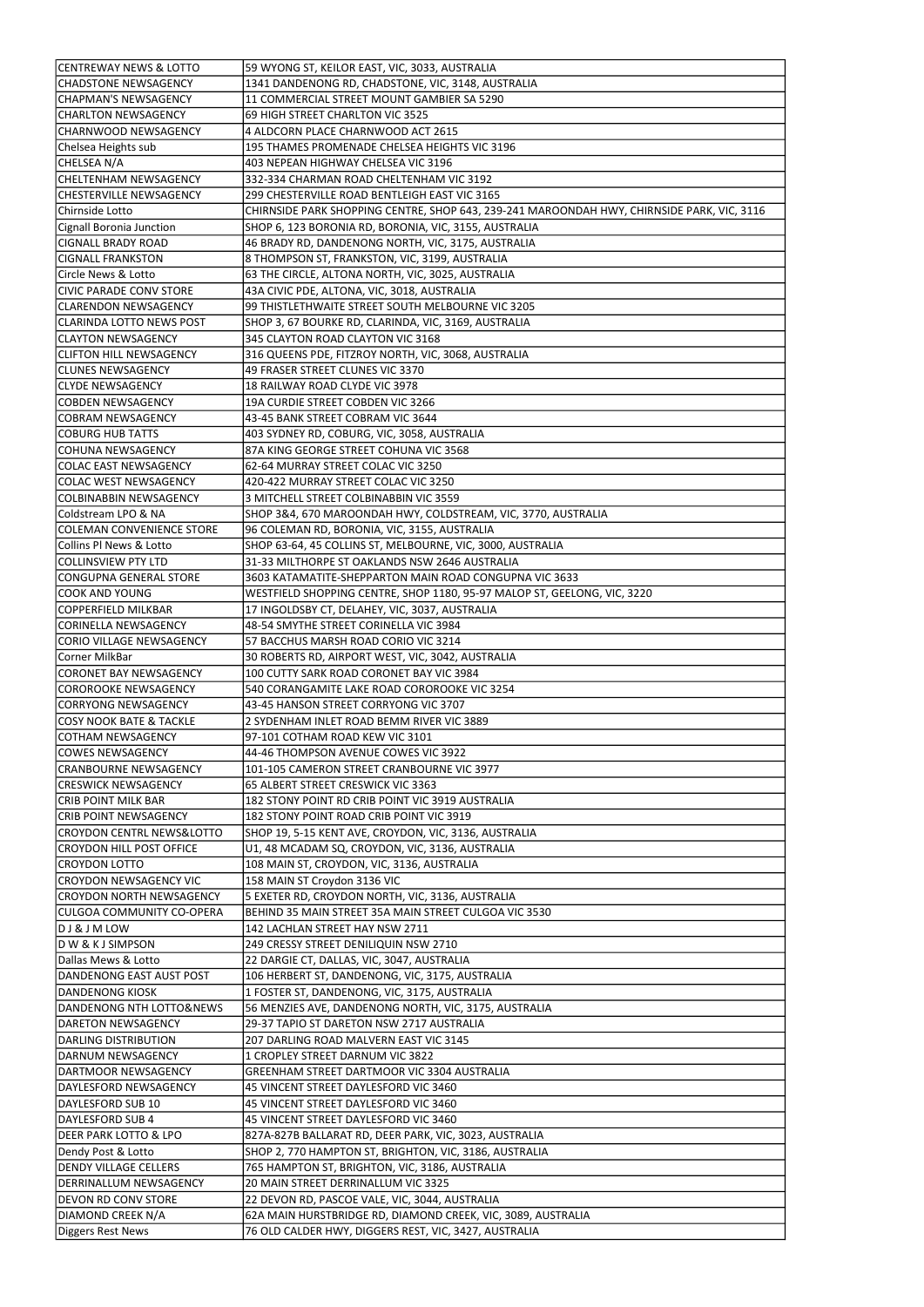| <b>CENTREWAY NEWS &amp; LOTTO</b>    | 59 WYONG ST, KEILOR EAST, VIC, 3033, AUSTRALIA                                             |
|--------------------------------------|--------------------------------------------------------------------------------------------|
| <b>CHADSTONE NEWSAGENCY</b>          | 1341 DANDENONG RD, CHADSTONE, VIC, 3148, AUSTRALIA                                         |
|                                      | 11 COMMERCIAL STREET MOUNT GAMBIER SA 5290                                                 |
| <b>CHAPMAN'S NEWSAGENCY</b>          |                                                                                            |
| <b>CHARLTON NEWSAGENCY</b>           | 69 HIGH STREET CHARLTON VIC 3525                                                           |
| CHARNWOOD NEWSAGENCY                 | 4 ALDCORN PLACE CHARNWOOD ACT 2615                                                         |
| Chelsea Heights sub                  | 195 THAMES PROMENADE CHELSEA HEIGHTS VIC 3196                                              |
| CHELSEA N/A                          | 403 NEPEAN HIGHWAY CHELSEA VIC 3196                                                        |
| CHELTENHAM NEWSAGENCY                | 332-334 CHARMAN ROAD CHELTENHAM VIC 3192                                                   |
| <b>CHESTERVILLE NEWSAGENCY</b>       | 299 CHESTERVILLE ROAD BENTLEIGH EAST VIC 3165                                              |
| Chirnside Lotto                      | CHIRNSIDE PARK SHOPPING CENTRE, SHOP 643, 239-241 MAROONDAH HWY, CHIRNSIDE PARK, VIC, 3116 |
| Cignall Boronia Junction             | SHOP 6, 123 BORONIA RD, BORONIA, VIC, 3155, AUSTRALIA                                      |
| <b>CIGNALL BRADY ROAD</b>            | 46 BRADY RD, DANDENONG NORTH, VIC, 3175, AUSTRALIA                                         |
|                                      |                                                                                            |
| <b>CIGNALL FRANKSTON</b>             | 8 THOMPSON ST, FRANKSTON, VIC, 3199, AUSTRALIA                                             |
| Circle News & Lotto                  | 63 THE CIRCLE, ALTONA NORTH, VIC, 3025, AUSTRALIA                                          |
| <b>CIVIC PARADE CONV STORE</b>       | 43A CIVIC PDE, ALTONA, VIC, 3018, AUSTRALIA                                                |
| <b>CLARENDON NEWSAGENCY</b>          | 99 THISTLETHWAITE STREET SOUTH MELBOURNE VIC 3205                                          |
| <b>CLARINDA LOTTO NEWS POST</b>      | SHOP 3, 67 BOURKE RD, CLARINDA, VIC, 3169, AUSTRALIA                                       |
| <b>l</b> CLAYTON NEWSAGENCY          | 345 CLAYTON ROAD CLAYTON VIC 3168                                                          |
| <b>CLIFTON HILL NEWSAGENCY</b>       | 316 QUEENS PDE, FITZROY NORTH, VIC, 3068, AUSTRALIA                                        |
| <b>CLUNES NEWSAGENCY</b>             | 49 FRASER STREET CLUNES VIC 3370                                                           |
| <b>CLYDE NEWSAGENCY</b>              | 18 RAILWAY ROAD CLYDE VIC 3978                                                             |
| <b>COBDEN NEWSAGENCY</b>             | 19A CURDIE STREET COBDEN VIC 3266                                                          |
| COBRAM NEWSAGENCY                    | 43-45 BANK STREET COBRAM VIC 3644                                                          |
|                                      |                                                                                            |
| COBURG HUB TATTS                     | 403 SYDNEY RD, COBURG, VIC, 3058, AUSTRALIA                                                |
| <b>COHUNA NEWSAGENCY</b>             | 87A KING GEORGE STREET COHUNA VIC 3568                                                     |
| COLAC EAST NEWSAGENCY                | 62-64 MURRAY STREET COLAC VIC 3250                                                         |
| COLAC WEST NEWSAGENCY                | 420-422 MURRAY STREET COLAC VIC 3250                                                       |
| COLBINABBIN NEWSAGENCY               | 3 MITCHELL STREET COLBINABBIN VIC 3559                                                     |
| Coldstream LPO & NA                  | SHOP 3&4, 670 MAROONDAH HWY, COLDSTREAM, VIC, 3770, AUSTRALIA                              |
| COLEMAN CONVENIENCE STORE            | 96 COLEMAN RD, BORONIA, VIC, 3155, AUSTRALIA                                               |
| Collins PI News & Lotto              | SHOP 63-64, 45 COLLINS ST, MELBOURNE, VIC, 3000, AUSTRALIA                                 |
| COLLINSVIEW PTY LTD                  | 31-33 MILTHORPE ST OAKLANDS NSW 2646 AUSTRALIA                                             |
| CONGUPNA GENERAL STORE               | 3603 KATAMATITE-SHEPPARTON MAIN ROAD CONGUPNA VIC 3633                                     |
| <b>COOK AND YOUNG</b>                | WESTFIELD SHOPPING CENTRE, SHOP 1180, 95-97 MALOP ST, GEELONG, VIC, 3220                   |
|                                      |                                                                                            |
| COPPERFIELD MILKBAR                  | 17 INGOLDSBY CT, DELAHEY, VIC, 3037, AUSTRALIA                                             |
| CORINELLA NEWSAGENCY                 | 48-54 SMYTHE STREET CORINELLA VIC 3984                                                     |
| CORIO VILLAGE NEWSAGENCY             | 57 BACCHUS MARSH ROAD CORIO VIC 3214                                                       |
| Corner MilkBar                       | 30 ROBERTS RD, AIRPORT WEST, VIC, 3042, AUSTRALIA                                          |
| CORONET BAY NEWSAGENCY               | 100 CUTTY SARK ROAD CORONET BAY VIC 3984                                                   |
| COROROOKE NEWSAGENCY                 | 540 CORANGAMITE LAKE ROAD COROROOKE VIC 3254                                               |
| CORRYONG NEWSAGENCY                  | 43-45 HANSON STREET CORRYONG VIC 3707                                                      |
| COSY NOOK BATE & TACKLE              | 2 SYDENHAM INLET ROAD BEMM RIVER VIC 3889                                                  |
| COTHAM NEWSAGENCY                    | 97-101 COTHAM ROAD KEW VIC 3101                                                            |
| COWES NEWSAGENCY                     | 44-46 THOMPSON AVENUE COWES VIC 3922                                                       |
| <b>CRANBOURNE NEWSAGENCY</b>         | 101-105 CAMERON STREET CRANBOURNE VIC 3977                                                 |
| <b>CRESWICK NEWSAGENCY</b>           | 65 ALBERT STREET CRESWICK VIC 3363                                                         |
|                                      |                                                                                            |
| <b>CRIB POINT MILK BAR</b>           | 182 STONY POINT RD CRIB POINT VIC 3919 AUSTRALIA                                           |
| <b>CRIB POINT NEWSAGENCY</b>         | 182 STONY POINT ROAD CRIB POINT VIC 3919                                                   |
| <b>CROYDON CENTRL NEWS&amp;LOTTO</b> | SHOP 19, 5-15 KENT AVE, CROYDON, VIC, 3136, AUSTRALIA                                      |
| <b>CROYDON HILL POST OFFICE</b>      | U1, 48 MCADAM SQ, CROYDON, VIC, 3136, AUSTRALIA                                            |
| <b>CROYDON LOTTO</b>                 | 108 MAIN ST, CROYDON, VIC, 3136, AUSTRALIA                                                 |
| CROYDON NEWSAGENCY VIC               | 158 MAIN ST Croydon 3136 VIC                                                               |
| <b>CROYDON NORTH NEWSAGENCY</b>      | 5 EXETER RD, CROYDON NORTH, VIC, 3136, AUSTRALIA                                           |
| CULGOA COMMUNITY CO-OPERA            | BEHIND 35 MAIN STREET 35A MAIN STREET CULGOA VIC 3530                                      |
| DJ&JMLOW                             | 142 LACHLAN STREET HAY NSW 2711                                                            |
| D W & K J SIMPSON                    | 249 CRESSY STREET DENILIQUIN NSW 2710                                                      |
| Dallas Mews & Lotto                  | 22 DARGIE CT, DALLAS, VIC, 3047, AUSTRALIA                                                 |
| DANDENONG EAST AUST POST             | 106 HERBERT ST, DANDENONG, VIC, 3175, AUSTRALIA                                            |
|                                      |                                                                                            |
| DANDENONG KIOSK                      | 1 FOSTER ST, DANDENONG, VIC, 3175, AUSTRALIA                                               |
| DANDENONG NTH LOTTO&NEWS             | 56 MENZIES AVE, DANDENONG NORTH, VIC, 3175, AUSTRALIA                                      |
| DARETON NEWSAGENCY                   | 29-37 TAPIO ST DARETON NSW 2717 AUSTRALIA                                                  |
| DARLING DISTRIBUTION                 | 207 DARLING ROAD MALVERN EAST VIC 3145                                                     |
| DARNUM NEWSAGENCY                    | 1 CROPLEY STREET DARNUM VIC 3822                                                           |
| DARTMOOR NEWSAGENCY                  | GREENHAM STREET DARTMOOR VIC 3304 AUSTRALIA                                                |
| DAYLESFORD NEWSAGENCY                | 45 VINCENT STREET DAYLESFORD VIC 3460                                                      |
| DAYLESFORD SUB 10                    | 45 VINCENT STREET DAYLESFORD VIC 3460                                                      |
| <b>DAYLESFORD SUB 4</b>              | 45 VINCENT STREET DAYLESFORD VIC 3460                                                      |
| <b>DEER PARK LOTTO &amp; LPO</b>     | 827A-827B BALLARAT RD, DEER PARK, VIC, 3023, AUSTRALIA                                     |
| Dendy Post & Lotto                   | SHOP 2, 770 HAMPTON ST, BRIGHTON, VIC, 3186, AUSTRALIA                                     |
| <b>DENDY VILLAGE CELLERS</b>         | 765 HAMPTON ST, BRIGHTON, VIC, 3186, AUSTRALIA                                             |
|                                      | 20 MAIN STREET DERRINALLUM VIC 3325                                                        |
| DERRINALLUM NEWSAGENCY               |                                                                                            |
| <b>DEVON RD CONV STORE</b>           | 22 DEVON RD, PASCOE VALE, VIC, 3044, AUSTRALIA                                             |
| DIAMOND CREEK N/A                    | 62A MAIN HURSTBRIDGE RD, DIAMOND CREEK, VIC, 3089, AUSTRALIA                               |
| Diggers Rest News                    | 76 OLD CALDER HWY, DIGGERS REST, VIC, 3427, AUSTRALIA                                      |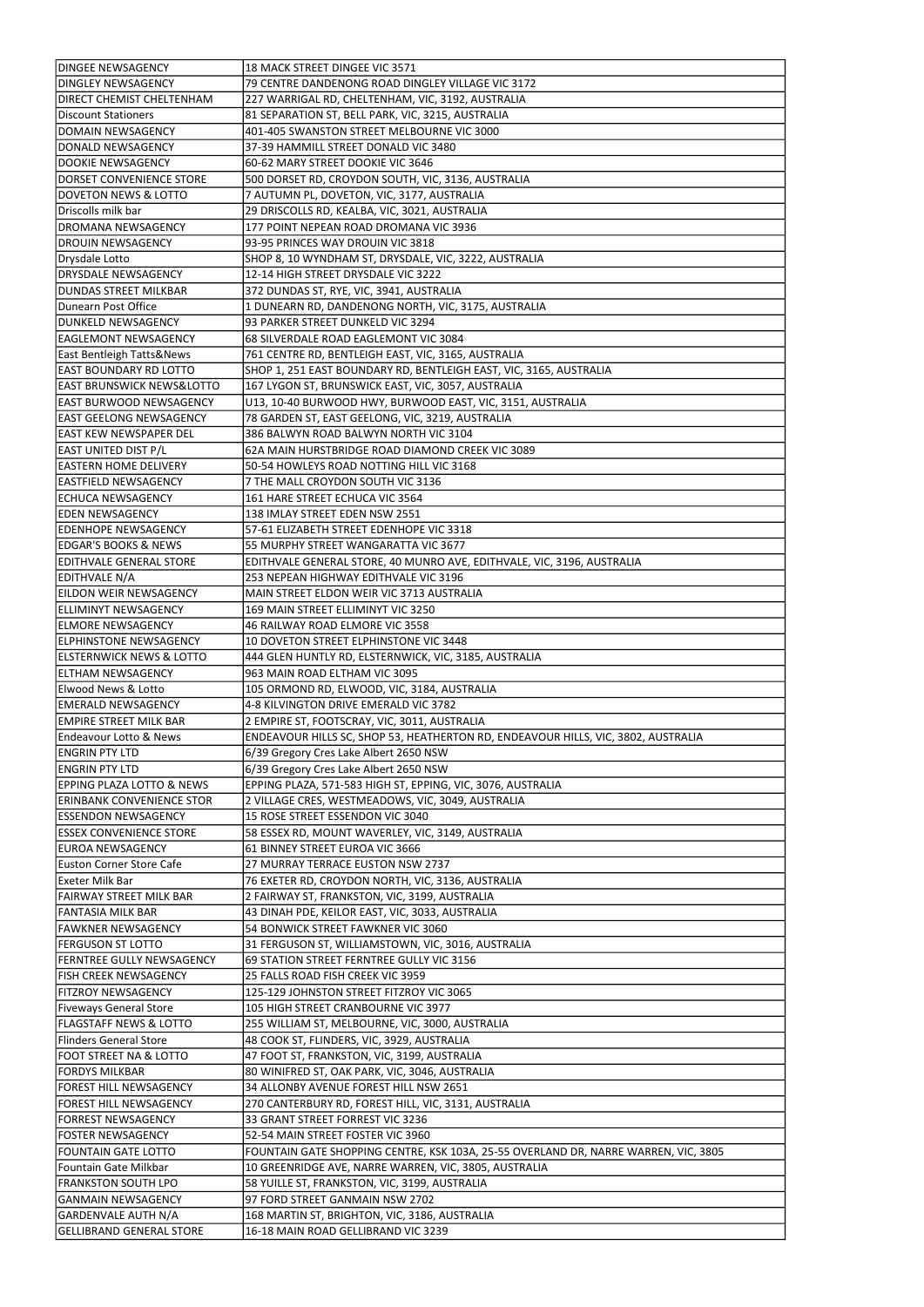| <b>DINGEE NEWSAGENCY</b>                                           | 18 MACK STREET DINGEE VIC 3571                                                                                            |
|--------------------------------------------------------------------|---------------------------------------------------------------------------------------------------------------------------|
| <b>DINGLEY NEWSAGENCY</b>                                          | 79 CENTRE DANDENONG ROAD DINGLEY VILLAGE VIC 3172                                                                         |
| <b>DIRECT CHEMIST CHELTENHAM</b>                                   | 227 WARRIGAL RD, CHELTENHAM, VIC, 3192, AUSTRALIA                                                                         |
| Discount Stationers                                                | 81 SEPARATION ST, BELL PARK, VIC, 3215, AUSTRALIA                                                                         |
| DOMAIN NEWSAGENCY                                                  | 401-405 SWANSTON STREET MELBOURNE VIC 3000                                                                                |
| DONALD NEWSAGENCY                                                  | 37-39 HAMMILL STREET DONALD VIC 3480                                                                                      |
| DOOKIE NEWSAGENCY                                                  | 60-62 MARY STREET DOOKIE VIC 3646                                                                                         |
| <b>IDORSET CONVENIENCE STORE</b>                                   | 500 DORSET RD, CROYDON SOUTH, VIC, 3136, AUSTRALIA                                                                        |
| DOVETON NEWS & LOTTO                                               | 7 AUTUMN PL, DOVETON, VIC, 3177, AUSTRALIA                                                                                |
| Driscolls milk bar                                                 | 29 DRISCOLLS RD, KEALBA, VIC, 3021, AUSTRALIA                                                                             |
| DROMANA NEWSAGENCY                                                 | 177 POINT NEPEAN ROAD DROMANA VIC 3936                                                                                    |
| <b>DROUIN NEWSAGENCY</b>                                           | 93-95 PRINCES WAY DROUIN VIC 3818                                                                                         |
| Drysdale Lotto                                                     | SHOP 8, 10 WYNDHAM ST, DRYSDALE, VIC, 3222, AUSTRALIA                                                                     |
| <b>DRYSDALE NEWSAGENCY</b>                                         | 12-14 HIGH STREET DRYSDALE VIC 3222                                                                                       |
| DUNDAS STREET MILKBAR                                              | 372 DUNDAS ST, RYE, VIC, 3941, AUSTRALIA                                                                                  |
| Dunearn Post Office                                                | 1 DUNEARN RD, DANDENONG NORTH, VIC, 3175, AUSTRALIA<br>93 PARKER STREET DUNKELD VIC 3294                                  |
| DUNKELD NEWSAGENCY<br><b>EAGLEMONT NEWSAGENCY</b>                  | 68 SILVERDALE ROAD EAGLEMONT VIC 3084                                                                                     |
| <b>East Bentleigh Tatts&amp;News</b>                               |                                                                                                                           |
| least boundary RD LOTTO                                            | 761 CENTRE RD, BENTLEIGH EAST, VIC, 3165, AUSTRALIA<br>SHOP 1, 251 EAST BOUNDARY RD, BENTLEIGH EAST, VIC, 3165, AUSTRALIA |
| EAST BRUNSWICK NEWS&LOTTO                                          | 167 LYGON ST, BRUNSWICK EAST, VIC, 3057, AUSTRALIA                                                                        |
| EAST BURWOOD NEWSAGENCY                                            | U13, 10-40 BURWOOD HWY, BURWOOD EAST, VIC, 3151, AUSTRALIA                                                                |
| lEAST GEELONG NEWSAGENCY                                           | 78 GARDEN ST, EAST GEELONG, VIC, 3219, AUSTRALIA                                                                          |
| <b>EAST KEW NEWSPAPER DEL</b>                                      | 386 BALWYN ROAD BALWYN NORTH VIC 3104                                                                                     |
| EAST UNITED DIST P/L                                               | 62A MAIN HURSTBRIDGE ROAD DIAMOND CREEK VIC 3089                                                                          |
| <b>EASTERN HOME DELIVERY</b>                                       | 50-54 HOWLEYS ROAD NOTTING HILL VIC 3168                                                                                  |
| EASTFIELD NEWSAGENCY                                               | 7 THE MALL CROYDON SOUTH VIC 3136                                                                                         |
| ECHUCA NEWSAGENCY                                                  | 161 HARE STREET ECHUCA VIC 3564                                                                                           |
| <b>EDEN NEWSAGENCY</b>                                             | 138 IMLAY STREET EDEN NSW 2551                                                                                            |
| EDENHOPE NEWSAGENCY                                                | 57-61 ELIZABETH STREET EDENHOPE VIC 3318                                                                                  |
| <b>EDGAR'S BOOKS &amp; NEWS</b>                                    | 55 MURPHY STREET WANGARATTA VIC 3677                                                                                      |
| ledithvale general store                                           | EDITHVALE GENERAL STORE, 40 MUNRO AVE, EDITHVALE, VIC, 3196, AUSTRALIA                                                    |
| EDITHVALE N/A                                                      | 253 NEPEAN HIGHWAY EDITHVALE VIC 3196                                                                                     |
| <b>EILDON WEIR NEWSAGENCY</b>                                      | MAIN STREET ELDON WEIR VIC 3713 AUSTRALIA                                                                                 |
| <b>ELLIMINYT NEWSAGENCY</b>                                        | 169 MAIN STREET ELLIMINYT VIC 3250                                                                                        |
| <b>ELMORE NEWSAGENCY</b>                                           | 46 RAILWAY ROAD ELMORE VIC 3558                                                                                           |
| <b>ELPHINSTONE NEWSAGENCY</b>                                      | 10 DOVETON STREET ELPHINSTONE VIC 3448                                                                                    |
| <b>ELSTERNWICK NEWS &amp; LOTTO</b>                                | 444 GLEN HUNTLY RD, ELSTERNWICK, VIC, 3185, AUSTRALIA                                                                     |
| leltham newsagency                                                 | 963 MAIN ROAD ELTHAM VIC 3095                                                                                             |
| Elwood News & Lotto                                                | 105 ORMOND RD, ELWOOD, VIC, 3184, AUSTRALIA                                                                               |
| <b>EMERALD NEWSAGENCY</b><br><b>EMPIRE STREET MILK BAR</b>         | 4-8 KILVINGTON DRIVE EMERALD VIC 3782<br>2 EMPIRE ST, FOOTSCRAY, VIC, 3011, AUSTRALIA                                     |
| <b>Endeavour Lotto &amp; News</b>                                  | ENDEAVOUR HILLS SC, SHOP 53, HEATHERTON RD, ENDEAVOUR HILLS, VIC, 3802, AUSTRALIA                                         |
| <b>ENGRIN PTY LTD</b>                                              | 6/39 Gregory Cres Lake Albert 2650 NSW                                                                                    |
| <b>ENGRIN PTY LTD</b>                                              | 6/39 Gregory Cres Lake Albert 2650 NSW                                                                                    |
| <b>EPPING PLAZA LOTTO &amp; NEWS</b>                               | EPPING PLAZA, 571-583 HIGH ST, EPPING, VIC, 3076, AUSTRALIA                                                               |
| <b>ERINBANK CONVENIENCE STOR</b>                                   | 2 VILLAGE CRES, WESTMEADOWS, VIC, 3049, AUSTRALIA                                                                         |
| <b>ESSENDON NEWSAGENCY</b>                                         | 15 ROSE STREET ESSENDON VIC 3040                                                                                          |
| <b>ESSEX CONVENIENCE STORE</b>                                     | 58 ESSEX RD, MOUNT WAVERLEY, VIC, 3149, AUSTRALIA                                                                         |
| <b>EUROA NEWSAGENCY</b>                                            | 61 BINNEY STREET EUROA VIC 3666                                                                                           |
| <b>Euston Corner Store Cafe</b>                                    | 27 MURRAY TERRACE EUSTON NSW 2737                                                                                         |
| Exeter Milk Bar                                                    | 76 EXETER RD, CROYDON NORTH, VIC, 3136, AUSTRALIA                                                                         |
| <b>FAIRWAY STREET MILK BAR</b>                                     | 2 FAIRWAY ST, FRANKSTON, VIC, 3199, AUSTRALIA                                                                             |
| <b>FANTASIA MILK BAR</b>                                           | 43 DINAH PDE, KEILOR EAST, VIC, 3033, AUSTRALIA                                                                           |
| <b>FAWKNER NEWSAGENCY</b>                                          | 54 BONWICK STREET FAWKNER VIC 3060                                                                                        |
| <b>FERGUSON ST LOTTO</b>                                           | 31 FERGUSON ST, WILLIAMSTOWN, VIC, 3016, AUSTRALIA                                                                        |
| <b>FERNTREE GULLY NEWSAGENCY</b>                                   | 69 STATION STREET FERNTREE GULLY VIC 3156                                                                                 |
| <b>FISH CREEK NEWSAGENCY</b>                                       | 25 FALLS ROAD FISH CREEK VIC 3959                                                                                         |
| <b>FITZROY NEWSAGENCY</b>                                          | 125-129 JOHNSTON STREET FITZROY VIC 3065                                                                                  |
| <b>Fiveways General Store</b><br><b>FLAGSTAFF NEWS &amp; LOTTO</b> | 105 HIGH STREET CRANBOURNE VIC 3977                                                                                       |
|                                                                    | 255 WILLIAM ST, MELBOURNE, VIC, 3000, AUSTRALIA<br>48 COOK ST, FLINDERS, VIC, 3929, AUSTRALIA                             |
| Flinders General Store                                             |                                                                                                                           |
| FOOT STREET NA & LOTTO<br><b>FORDYS MILKBAR</b>                    | 47 FOOT ST, FRANKSTON, VIC, 3199, AUSTRALIA<br>80 WINIFRED ST, OAK PARK, VIC, 3046, AUSTRALIA                             |
| <b>FOREST HILL NEWSAGENCY</b>                                      | 34 ALLONBY AVENUE FOREST HILL NSW 2651                                                                                    |
| FOREST HILL NEWSAGENCY                                             | 270 CANTERBURY RD, FOREST HILL, VIC, 3131, AUSTRALIA                                                                      |
| <b>FORREST NEWSAGENCY</b>                                          |                                                                                                                           |
|                                                                    | 33 GRANT STREET FORREST VIC 3236                                                                                          |
| <b>FOSTER NEWSAGENCY</b>                                           | 52-54 MAIN STREET FOSTER VIC 3960                                                                                         |
| FOUNTAIN GATE LOTTO                                                | FOUNTAIN GATE SHOPPING CENTRE, KSK 103A, 25-55 OVERLAND DR, NARRE WARREN, VIC, 3805                                       |
| Fountain Gate Milkbar                                              | 10 GREENRIDGE AVE, NARRE WARREN, VIC, 3805, AUSTRALIA                                                                     |
| <b>FRANKSTON SOUTH LPO</b>                                         | 58 YUILLE ST, FRANKSTON, VIC, 3199, AUSTRALIA                                                                             |
| <b>GANMAIN NEWSAGENCY</b>                                          | 97 FORD STREET GANMAIN NSW 2702                                                                                           |
| GARDENVALE AUTH N/A                                                | 168 MARTIN ST, BRIGHTON, VIC, 3186, AUSTRALIA                                                                             |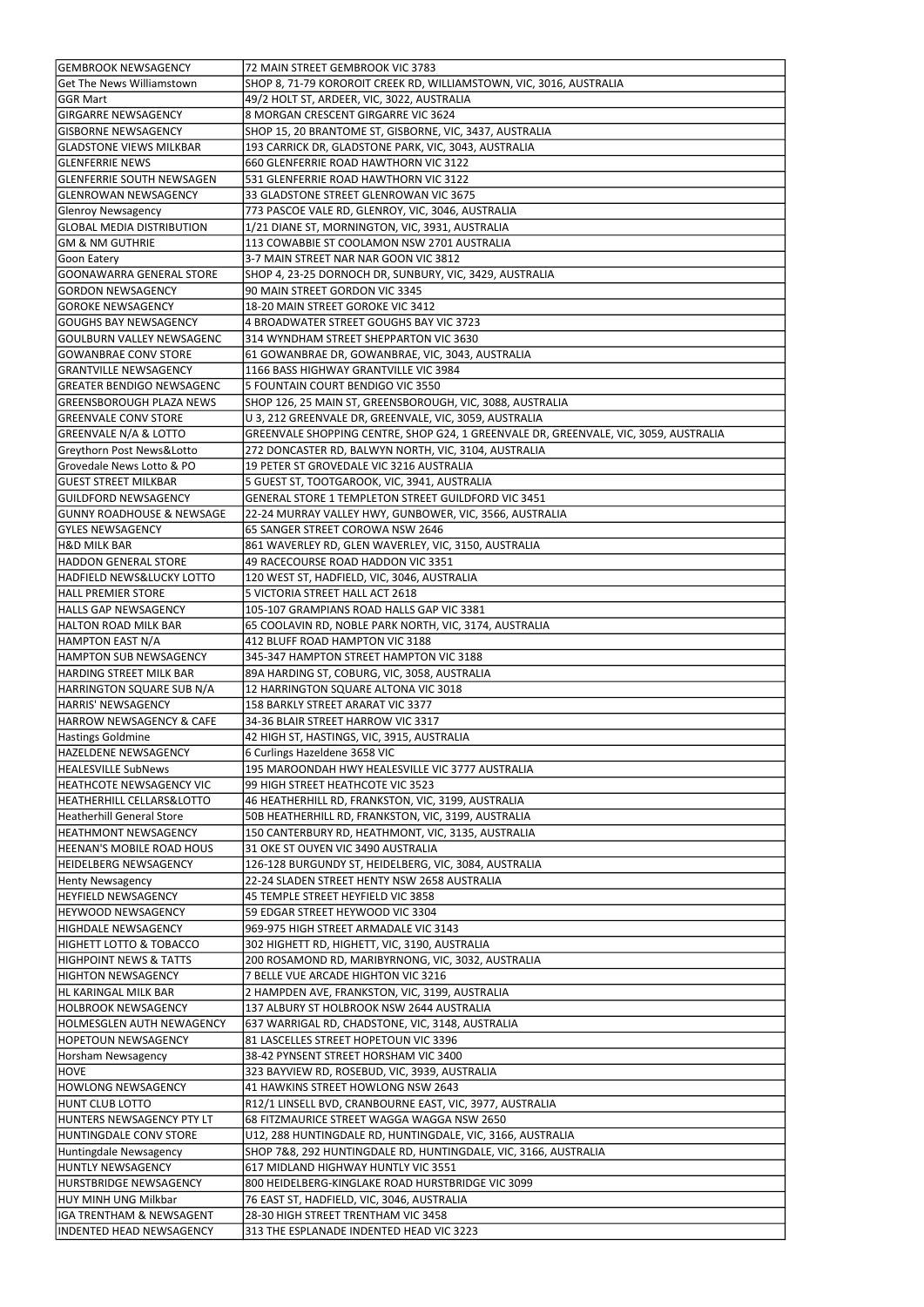| <b>GEMBROOK NEWSAGENCY</b>                           | 72 MAIN STREET GEMBROOK VIC 3783                                                     |
|------------------------------------------------------|--------------------------------------------------------------------------------------|
| <b>Get The News Williamstown</b>                     | SHOP 8, 71-79 KOROROIT CREEK RD, WILLIAMSTOWN, VIC, 3016, AUSTRALIA                  |
| lGGR Mart                                            | 49/2 HOLT ST, ARDEER, VIC, 3022, AUSTRALIA                                           |
|                                                      |                                                                                      |
| <b>GIRGARRE NEWSAGENCY</b>                           | 8 MORGAN CRESCENT GIRGARRE VIC 3624                                                  |
| <b>GISBORNE NEWSAGENCY</b>                           | SHOP 15, 20 BRANTOME ST, GISBORNE, VIC, 3437, AUSTRALIA                              |
| <b>GLADSTONE VIEWS MILKBAR</b>                       | 193 CARRICK DR, GLADSTONE PARK, VIC, 3043, AUSTRALIA                                 |
| <b>IGLENFERRIE NEWS</b>                              | 660 GLENFERRIE ROAD HAWTHORN VIC 3122                                                |
| <b>GLENFERRIE SOUTH NEWSAGEN</b>                     | 531 GLENFERRIE ROAD HAWTHORN VIC 3122                                                |
| <b>GLENROWAN NEWSAGENCY</b>                          | 33 GLADSTONE STREET GLENROWAN VIC 3675                                               |
| Glenroy Newsagency                                   | 773 PASCOE VALE RD, GLENROY, VIC, 3046, AUSTRALIA                                    |
| <b>GLOBAL MEDIA DISTRIBUTION</b>                     | 1/21 DIANE ST, MORNINGTON, VIC, 3931, AUSTRALIA                                      |
| GM & NM GUTHRIE                                      | 113 COWABBIE ST COOLAMON NSW 2701 AUSTRALIA                                          |
| Goon Eatery                                          | 3-7 MAIN STREET NAR NAR GOON VIC 3812                                                |
| <b>GOONAWARRA GENERAL STORE</b>                      | SHOP 4, 23-25 DORNOCH DR, SUNBURY, VIC, 3429, AUSTRALIA                              |
| <b>GORDON NEWSAGENCY</b>                             | 90 MAIN STREET GORDON VIC 3345                                                       |
| <b>GOROKE NEWSAGENCY</b>                             | 18-20 MAIN STREET GOROKE VIC 3412                                                    |
| GOUGHS BAY NEWSAGENCY                                | 4 BROADWATER STREET GOUGHS BAY VIC 3723                                              |
|                                                      |                                                                                      |
| GOULBURN VALLEY NEWSAGENC                            | 314 WYNDHAM STREET SHEPPARTON VIC 3630                                               |
| <b>IGOWANBRAE CONV STORE</b>                         | 61 GOWANBRAE DR, GOWANBRAE, VIC, 3043, AUSTRALIA                                     |
| <b>GRANTVILLE NEWSAGENCY</b>                         | 1166 BASS HIGHWAY GRANTVILLE VIC 3984                                                |
| <b>GREATER BENDIGO NEWSAGENC</b>                     | 5 FOUNTAIN COURT BENDIGO VIC 3550                                                    |
| <b>GREENSBOROUGH PLAZA NEWS</b>                      | SHOP 126, 25 MAIN ST, GREENSBOROUGH, VIC, 3088, AUSTRALIA                            |
| GREENVALE CONV STORE                                 | U 3, 212 GREENVALE DR, GREENVALE, VIC, 3059, AUSTRALIA                               |
| GREENVALE N/A & LOTTO                                | GREENVALE SHOPPING CENTRE, SHOP G24, 1 GREENVALE DR, GREENVALE, VIC, 3059, AUSTRALIA |
| Greythorn Post News&Lotto                            | 272 DONCASTER RD, BALWYN NORTH, VIC, 3104, AUSTRALIA                                 |
| Grovedale News Lotto & PO                            | 19 PETER ST GROVEDALE VIC 3216 AUSTRALIA                                             |
| <b>GUEST STREET MILKBAR</b>                          | 5 GUEST ST, TOOTGAROOK, VIC, 3941, AUSTRALIA                                         |
| GUILDFORD NEWSAGENCY                                 | GENERAL STORE 1 TEMPLETON STREET GUILDFORD VIC 3451                                  |
| <b>GUNNY ROADHOUSE &amp; NEWSAGE</b>                 | 22-24 MURRAY VALLEY HWY, GUNBOWER, VIC, 3566, AUSTRALIA                              |
| <b>GYLES NEWSAGENCY</b>                              | 65 SANGER STREET COROWA NSW 2646                                                     |
| <b>H&amp;D MILK BAR</b>                              | 861 WAVERLEY RD, GLEN WAVERLEY, VIC, 3150, AUSTRALIA                                 |
| <b>HADDON GENERAL STORE</b>                          | 49 RACECOURSE ROAD HADDON VIC 3351                                                   |
| <b>HADFIELD NEWS&amp;LUCKY LOTTO</b>                 | 120 WEST ST, HADFIELD, VIC, 3046, AUSTRALIA                                          |
| <b>HALL PREMIER STORE</b>                            | 5 VICTORIA STREET HALL ACT 2618                                                      |
| <b>HALLS GAP NEWSAGENCY</b>                          | 105-107 GRAMPIANS ROAD HALLS GAP VIC 3381                                            |
| <b>HALTON ROAD MILK BAR</b>                          | 65 COOLAVIN RD, NOBLE PARK NORTH, VIC, 3174, AUSTRALIA                               |
| HAMPTON EAST N/A                                     | 412 BLUFF ROAD HAMPTON VIC 3188                                                      |
| <b>HAMPTON SUB NEWSAGENCY</b>                        | 345-347 HAMPTON STREET HAMPTON VIC 3188                                              |
|                                                      |                                                                                      |
| <b>HARDING STREET MILK BAR</b>                       | 89A HARDING ST, COBURG, VIC, 3058, AUSTRALIA                                         |
| HARRINGTON SQUARE SUB N/A                            | 12 HARRINGTON SQUARE ALTONA VIC 3018                                                 |
| HARRIS' NEWSAGENCY                                   | 158 BARKLY STREET ARARAT VIC 3377                                                    |
| HARROW NEWSAGENCY & CAFE                             | 34-36 BLAIR STREET HARROW VIC 3317                                                   |
|                                                      |                                                                                      |
| Hastings Goldmine                                    | 42 HIGH ST, HASTINGS, VIC, 3915, AUSTRALIA                                           |
| <b>HAZELDENE NEWSAGENCY</b>                          | 6 Curlings Hazeldene 3658 VIC                                                        |
| <b>HEALESVILLE SubNews</b>                           | 195 MAROONDAH HWY HEALESVILLE VIC 3777 AUSTRALIA                                     |
| <b>HEATHCOTE NEWSAGENCY VIC</b>                      | 99 HIGH STREET HEATHCOTE VIC 3523                                                    |
| HEATHERHILL CELLARS&LOTTO                            | 46 HEATHERHILL RD, FRANKSTON, VIC, 3199, AUSTRALIA                                   |
| Heatherhill General Store                            | 50B HEATHERHILL RD, FRANKSTON, VIC, 3199, AUSTRALIA                                  |
| <b>HEATHMONT NEWSAGENCY</b>                          | 150 CANTERBURY RD, HEATHMONT, VIC, 3135, AUSTRALIA                                   |
| <b>HEENAN'S MOBILE ROAD HOUS</b>                     | 31 OKE ST OUYEN VIC 3490 AUSTRALIA                                                   |
| <b>HEIDELBERG NEWSAGENCY</b>                         | 126-128 BURGUNDY ST, HEIDELBERG, VIC, 3084, AUSTRALIA                                |
| <b>Henty Newsagency</b>                              | 22-24 SLADEN STREET HENTY NSW 2658 AUSTRALIA                                         |
| <b>HEYFIELD NEWSAGENCY</b>                           | 45 TEMPLE STREET HEYFIELD VIC 3858                                                   |
| HEYWOOD NEWSAGENCY                                   | 59 EDGAR STREET HEYWOOD VIC 3304                                                     |
| <b>HIGHDALE NEWSAGENCY</b>                           | 969-975 HIGH STREET ARMADALE VIC 3143                                                |
| HIGHETT LOTTO & TOBACCO                              | 302 HIGHETT RD, HIGHETT, VIC, 3190, AUSTRALIA                                        |
| <b>HIGHPOINT NEWS &amp; TATTS</b>                    | 200 ROSAMOND RD, MARIBYRNONG, VIC, 3032, AUSTRALIA                                   |
| <b>HIGHTON NEWSAGENCY</b>                            | 7 BELLE VUE ARCADE HIGHTON VIC 3216                                                  |
| HL KARINGAL MILK BAR                                 | 2 HAMPDEN AVE, FRANKSTON, VIC, 3199, AUSTRALIA                                       |
| <b>HOLBROOK NEWSAGENCY</b>                           | 137 ALBURY ST HOLBROOK NSW 2644 AUSTRALIA                                            |
| HOLMESGLEN AUTH NEWAGENCY                            | 637 WARRIGAL RD, CHADSTONE, VIC, 3148, AUSTRALIA                                     |
| <b>HOPETOUN NEWSAGENCY</b>                           | 81 LASCELLES STREET HOPETOUN VIC 3396                                                |
| <b>Horsham Newsagency</b>                            | 38-42 PYNSENT STREET HORSHAM VIC 3400                                                |
| <b>HOVE</b>                                          | 323 BAYVIEW RD, ROSEBUD, VIC, 3939, AUSTRALIA                                        |
| <b>HOWLONG NEWSAGENCY</b>                            | 41 HAWKINS STREET HOWLONG NSW 2643                                                   |
| <b>HUNT CLUB LOTTO</b>                               | R12/1 LINSELL BVD, CRANBOURNE EAST, VIC, 3977, AUSTRALIA                             |
| HUNTERS NEWSAGENCY PTY LT                            | 68 FITZMAURICE STREET WAGGA WAGGA NSW 2650                                           |
| <b>HUNTINGDALE CONV STORE</b>                        | U12, 288 HUNTINGDALE RD, HUNTINGDALE, VIC, 3166, AUSTRALIA                           |
| Huntingdale Newsagency                               | SHOP 7&8, 292 HUNTINGDALE RD, HUNTINGDALE, VIC, 3166, AUSTRALIA                      |
| <b>HUNTLY NEWSAGENCY</b>                             | 617 MIDLAND HIGHWAY HUNTLY VIC 3551                                                  |
| <b>HURSTBRIDGE NEWSAGENCY</b>                        | 800 HEIDELBERG-KINGLAKE ROAD HURSTBRIDGE VIC 3099                                    |
| HUY MINH UNG Milkbar                                 | 76 EAST ST, HADFIELD, VIC, 3046, AUSTRALIA                                           |
| IGA TRENTHAM & NEWSAGENT<br>INDENTED HEAD NEWSAGENCY | 28-30 HIGH STREET TRENTHAM VIC 3458<br>313 THE ESPLANADE INDENTED HEAD VIC 3223      |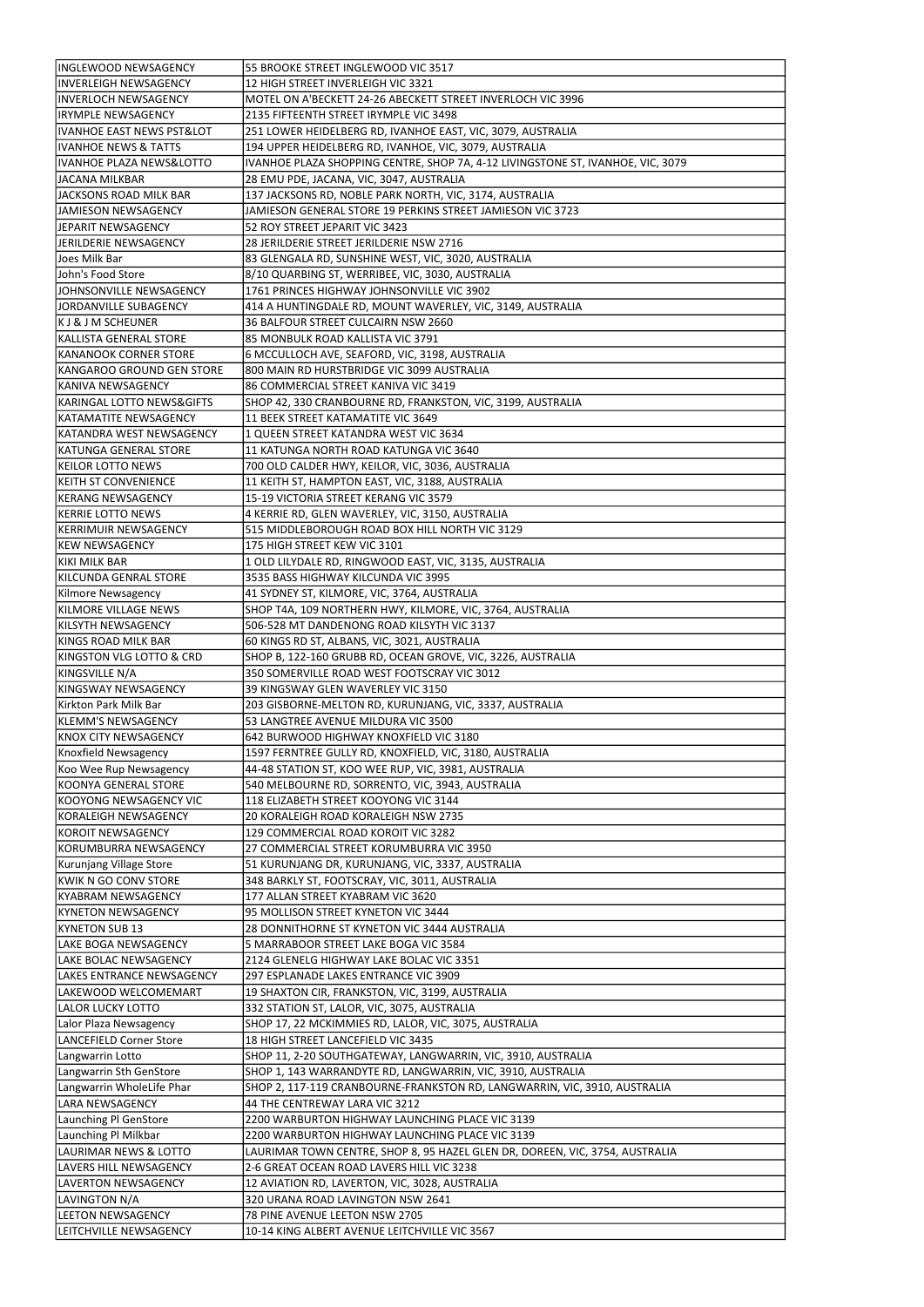| INGLEWOOD NEWSAGENCY                 | 55 BROOKE STREET INGLEWOOD VIC 3517                                             |
|--------------------------------------|---------------------------------------------------------------------------------|
| <b>INVERLEIGH NEWSAGENCY</b>         | 12 HIGH STREET INVERLEIGH VIC 3321                                              |
|                                      |                                                                                 |
| INVERLOCH NEWSAGENCY                 | MOTEL ON A'BECKETT 24-26 ABECKETT STREET INVERLOCH VIC 3996                     |
| <b>IRYMPLE NEWSAGENCY</b>            | 2135 FIFTEENTH STREET IRYMPLE VIC 3498                                          |
| <b>IVANHOE EAST NEWS PST&amp;LOT</b> | 251 LOWER HEIDELBERG RD, IVANHOE EAST, VIC, 3079, AUSTRALIA                     |
| lIVANHOE NEWS & TATTS                | 194 UPPER HEIDELBERG RD, IVANHOE, VIC, 3079, AUSTRALIA                          |
| IVANHOE PLAZA NEWS&LOTTO             | IVANHOE PLAZA SHOPPING CENTRE, SHOP 7A, 4-12 LIVINGSTONE ST, IVANHOE, VIC, 3079 |
| <b>JACANA MILKBAR</b>                | 28 EMU PDE, JACANA, VIC, 3047, AUSTRALIA                                        |
| JACKSONS ROAD MILK BAR               | 137 JACKSONS RD, NOBLE PARK NORTH, VIC, 3174, AUSTRALIA                         |
|                                      |                                                                                 |
| JAMIESON NEWSAGENCY                  | JAMIESON GENERAL STORE 19 PERKINS STREET JAMIESON VIC 3723                      |
| JEPARIT NEWSAGENCY                   | 52 ROY STREET JEPARIT VIC 3423                                                  |
| JERILDERIE NEWSAGENCY                | 28 JERILDERIE STREET JERILDERIE NSW 2716                                        |
| Joes Milk Bar                        | 83 GLENGALA RD, SUNSHINE WEST, VIC, 3020, AUSTRALIA                             |
| John's Food Store                    | 8/10 QUARBING ST, WERRIBEE, VIC, 3030, AUSTRALIA                                |
| JOHNSONVILLE NEWSAGENCY              | 1761 PRINCES HIGHWAY JOHNSONVILLE VIC 3902                                      |
|                                      |                                                                                 |
| JORDANVILLE SUBAGENCY                | 414 A HUNTINGDALE RD, MOUNT WAVERLEY, VIC, 3149, AUSTRALIA                      |
| K J & J M SCHEUNER                   | 36 BALFOUR STREET CULCAIRN NSW 2660                                             |
| KALLISTA GENERAL STORE               | 85 MONBULK ROAD KALLISTA VIC 3791                                               |
| KANANOOK CORNER STORE                | 6 MCCULLOCH AVE, SEAFORD, VIC, 3198, AUSTRALIA                                  |
| KANGAROO GROUND GEN STORE            | 800 MAIN RD HURSTBRIDGE VIC 3099 AUSTRALIA                                      |
| KANIVA NEWSAGENCY                    | 86 COMMERCIAL STREET KANIVA VIC 3419                                            |
| KARINGAL LOTTO NEWS&GIFTS            | SHOP 42, 330 CRANBOURNE RD, FRANKSTON, VIC, 3199, AUSTRALIA                     |
|                                      |                                                                                 |
| KATAMATITE NEWSAGENCY                | 11 BEEK STREET KATAMATITE VIC 3649                                              |
| KATANDRA WEST NEWSAGENCY             | 1 QUEEN STREET KATANDRA WEST VIC 3634                                           |
| <b>KATUNGA GENERAL STORE</b>         | 11 KATUNGA NORTH ROAD KATUNGA VIC 3640                                          |
| <b>KEILOR LOTTO NEWS</b>             | 700 OLD CALDER HWY, KEILOR, VIC, 3036, AUSTRALIA                                |
| <b>KEITH ST CONVENIENCE</b>          | 11 KEITH ST, HAMPTON EAST, VIC, 3188, AUSTRALIA                                 |
| <b>KERANG NEWSAGENCY</b>             | 15-19 VICTORIA STREET KERANG VIC 3579                                           |
| KERRIE LOTTO NEWS                    | 4 KERRIE RD, GLEN WAVERLEY, VIC, 3150, AUSTRALIA                                |
|                                      |                                                                                 |
| <b>KERRIMUIR NEWSAGENCY</b>          | 515 MIDDLEBOROUGH ROAD BOX HILL NORTH VIC 3129                                  |
| <b>IKEW NEWSAGENCY</b>               | 175 HIGH STREET KEW VIC 3101                                                    |
| KIKI MILK BAR                        | 1 OLD LILYDALE RD, RINGWOOD EAST, VIC, 3135, AUSTRALIA                          |
| KILCUNDA GENRAL STORE                | 3535 BASS HIGHWAY KILCUNDA VIC 3995                                             |
| Kilmore Newsagency                   | 41 SYDNEY ST, KILMORE, VIC, 3764, AUSTRALIA                                     |
| KILMORE VILLAGE NEWS                 | SHOP T4A, 109 NORTHERN HWY, KILMORE, VIC, 3764, AUSTRALIA                       |
| KILSYTH NEWSAGENCY                   | 506-528 MT DANDENONG ROAD KILSYTH VIC 3137                                      |
|                                      |                                                                                 |
| KINGS ROAD MILK BAR                  | 60 KINGS RD ST, ALBANS, VIC, 3021, AUSTRALIA                                    |
| KINGSTON VLG LOTTO & CRD             | SHOP B, 122-160 GRUBB RD, OCEAN GROVE, VIC, 3226, AUSTRALIA                     |
| KINGSVILLE N/A                       | 350 SOMERVILLE ROAD WEST FOOTSCRAY VIC 3012                                     |
| KINGSWAY NEWSAGENCY                  | 39 KINGSWAY GLEN WAVERLEY VIC 3150                                              |
| Kirkton Park Milk Bar                | 203 GISBORNE-MELTON RD, KURUNJANG, VIC, 3337, AUSTRALIA                         |
| <b>KLEMM'S NEWSAGENCY</b>            | 53 LANGTREE AVENUE MILDURA VIC 3500                                             |
| <b>KNOX CITY NEWSAGENCY</b>          | 642 BURWOOD HIGHWAY KNOXFIELD VIC 3180                                          |
|                                      |                                                                                 |
| Knoxfield Newsagency                 | 1597 FERNTREE GULLY RD, KNOXFIELD, VIC, 3180, AUSTRALIA                         |
| Koo Wee Rup Newsagency               | 44-48 STATION ST, KOO WEE RUP, VIC, 3981, AUSTRALIA                             |
| KOONYA GENERAL STORE                 | 540 MELBOURNE RD, SORRENTO, VIC, 3943, AUSTRALIA                                |
| KOOYONG NEWSAGENCY VIC               | 118 ELIZABETH STREET KOOYONG VIC 3144                                           |
| KORALEIGH NEWSAGENCY                 | 20 KORALEIGH ROAD KORALEIGH NSW 2735                                            |
| KOROIT NEWSAGENCY                    | 129 COMMERCIAL ROAD KOROIT VIC 3282                                             |
|                                      |                                                                                 |
| KORUMBURRA NEWSAGENCY                | 27 COMMERCIAL STREET KORUMBURRA VIC 3950                                        |
| Kurunjang Village Store              | 51 KURUNJANG DR, KURUNJANG, VIC, 3337, AUSTRALIA                                |
| KWIK N GO CONV STORE                 | 348 BARKLY ST, FOOTSCRAY, VIC, 3011, AUSTRALIA                                  |
| KYABRAM NEWSAGENCY                   | 177 ALLAN STREET KYABRAM VIC 3620                                               |
| <b>KYNETON NEWSAGENCY</b>            | 95 MOLLISON STREET KYNETON VIC 3444                                             |
| <b>KYNETON SUB 13</b>                | 28 DONNITHORNE ST KYNETON VIC 3444 AUSTRALIA                                    |
| <b>LAKE BOGA NEWSAGENCY</b>          | 5 MARRABOOR STREET LAKE BOGA VIC 3584                                           |
|                                      |                                                                                 |
| <b>LAKE BOLAC NEWSAGENCY</b>         | 2124 GLENELG HIGHWAY LAKE BOLAC VIC 3351                                        |
| <b>LAKES ENTRANCE NEWSAGENCY</b>     | 297 ESPLANADE LAKES ENTRANCE VIC 3909                                           |
| LAKEWOOD WELCOMEMART                 | 19 SHAXTON CIR, FRANKSTON, VIC, 3199, AUSTRALIA                                 |
| LALOR LUCKY LOTTO                    | 332 STATION ST, LALOR, VIC, 3075, AUSTRALIA                                     |
| Lalor Plaza Newsagency               | SHOP 17, 22 MCKIMMIES RD, LALOR, VIC, 3075, AUSTRALIA                           |
| LANCEFIELD Corner Store              | 18 HIGH STREET LANCEFIELD VIC 3435                                              |
|                                      |                                                                                 |
| Langwarrin Lotto                     | SHOP 11, 2-20 SOUTHGATEWAY, LANGWARRIN, VIC, 3910, AUSTRALIA                    |
| Langwarrin Sth GenStore              | SHOP 1, 143 WARRANDYTE RD, LANGWARRIN, VIC, 3910, AUSTRALIA                     |
| Langwarrin WholeLife Phar            | SHOP 2, 117-119 CRANBOURNE-FRANKSTON RD, LANGWARRIN, VIC, 3910, AUSTRALIA       |
| <b>LARA NEWSAGENCY</b>               | 44 THE CENTREWAY LARA VIC 3212                                                  |
| Launching Pl GenStore                | 2200 WARBURTON HIGHWAY LAUNCHING PLACE VIC 3139                                 |
| Launching Pl Milkbar                 | 2200 WARBURTON HIGHWAY LAUNCHING PLACE VIC 3139                                 |
| LAURIMAR NEWS & LOTTO                | LAURIMAR TOWN CENTRE, SHOP 8, 95 HAZEL GLEN DR, DOREEN, VIC, 3754, AUSTRALIA    |
|                                      |                                                                                 |
| LAVERS HILL NEWSAGENCY               | 2-6 GREAT OCEAN ROAD LAVERS HILL VIC 3238                                       |
| <b>LAVERTON NEWSAGENCY</b>           | 12 AVIATION RD, LAVERTON, VIC, 3028, AUSTRALIA                                  |
| LAVINGTON N/A                        | 320 URANA ROAD LAVINGTON NSW 2641                                               |
| <b>LEETON NEWSAGENCY</b>             | 78 PINE AVENUE LEETON NSW 2705                                                  |
| LEITCHVILLE NEWSAGENCY               | 10-14 KING ALBERT AVENUE LEITCHVILLE VIC 3567                                   |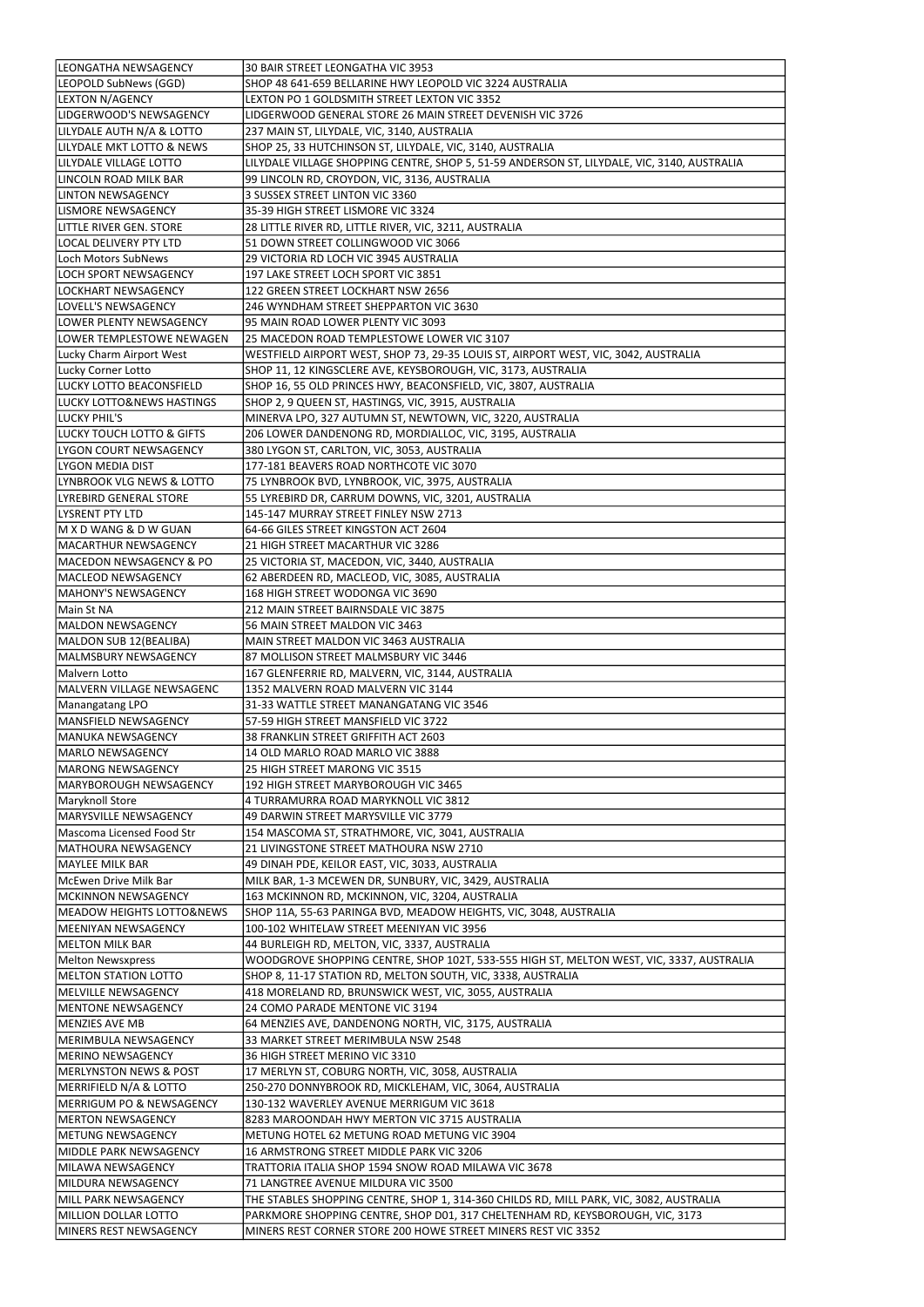| LEONGATHA NEWSAGENCY                           | 30 BAIR STREET LEONGATHA VIC 3953                                                                                                              |
|------------------------------------------------|------------------------------------------------------------------------------------------------------------------------------------------------|
| LEOPOLD SubNews (GGD)                          | SHOP 48 641-659 BELLARINE HWY LEOPOLD VIC 3224 AUSTRALIA                                                                                       |
| <b>LEXTON N/AGENCY</b>                         | LEXTON PO 1 GOLDSMITH STREET LEXTON VIC 3352                                                                                                   |
| LIDGERWOOD'S NEWSAGENCY                        | LIDGERWOOD GENERAL STORE 26 MAIN STREET DEVENISH VIC 3726                                                                                      |
| LILYDALE AUTH N/A & LOTTO                      | 237 MAIN ST, LILYDALE, VIC, 3140, AUSTRALIA                                                                                                    |
| LILYDALE MKT LOTTO & NEWS                      | SHOP 25, 33 HUTCHINSON ST, LILYDALE, VIC, 3140, AUSTRALIA                                                                                      |
| LILYDALE VILLAGE LOTTO                         | LILYDALE VILLAGE SHOPPING CENTRE, SHOP 5, 51-59 ANDERSON ST, LILYDALE, VIC, 3140, AUSTRALIA                                                    |
| LINCOLN ROAD MILK BAR                          | 99 LINCOLN RD, CROYDON, VIC, 3136, AUSTRALIA                                                                                                   |
| <b>LINTON NEWSAGENCY</b>                       | 3 SUSSEX STREET LINTON VIC 3360                                                                                                                |
| <b>LISMORE NEWSAGENCY</b>                      | 35-39 HIGH STREET LISMORE VIC 3324                                                                                                             |
| LITTLE RIVER GEN. STORE                        | 28 LITTLE RIVER RD, LITTLE RIVER, VIC, 3211, AUSTRALIA                                                                                         |
| <b>LOCAL DELIVERY PTY LTD</b>                  | 51 DOWN STREET COLLINGWOOD VIC 3066                                                                                                            |
| Loch Motors SubNews                            | 29 VICTORIA RD LOCH VIC 3945 AUSTRALIA                                                                                                         |
| <b>LOCH SPORT NEWSAGENCY</b>                   | 197 LAKE STREET LOCH SPORT VIC 3851                                                                                                            |
|                                                |                                                                                                                                                |
| LOCKHART NEWSAGENCY                            | 122 GREEN STREET LOCKHART NSW 2656                                                                                                             |
| LOVELL'S NEWSAGENCY                            | 246 WYNDHAM STREET SHEPPARTON VIC 3630                                                                                                         |
| LOWER PLENTY NEWSAGENCY                        | 95 MAIN ROAD LOWER PLENTY VIC 3093                                                                                                             |
| LOWER TEMPLESTOWE NEWAGEN                      | 25 MACEDON ROAD TEMPLESTOWE LOWER VIC 3107                                                                                                     |
| Lucky Charm Airport West                       | WESTFIELD AIRPORT WEST, SHOP 73, 29-35 LOUIS ST, AIRPORT WEST, VIC, 3042, AUSTRALIA                                                            |
| Lucky Corner Lotto                             | SHOP 11, 12 KINGSCLERE AVE, KEYSBOROUGH, VIC, 3173, AUSTRALIA                                                                                  |
| LUCKY LOTTO BEACONSFIELD                       | SHOP 16, 55 OLD PRINCES HWY, BEACONSFIELD, VIC, 3807, AUSTRALIA                                                                                |
| <b>LUCKY LOTTO&amp;NEWS HASTINGS</b>           | SHOP 2, 9 QUEEN ST, HASTINGS, VIC, 3915, AUSTRALIA                                                                                             |
| LUCKY PHIL'S                                   | MINERVA LPO, 327 AUTUMN ST, NEWTOWN, VIC, 3220, AUSTRALIA                                                                                      |
| <b>LUCKY TOUCH LOTTO &amp; GIFTS</b>           | 206 LOWER DANDENONG RD, MORDIALLOC, VIC, 3195, AUSTRALIA                                                                                       |
| LYGON COURT NEWSAGENCY                         | 380 LYGON ST, CARLTON, VIC, 3053, AUSTRALIA                                                                                                    |
| LYGON MEDIA DIST                               | 177-181 BEAVERS ROAD NORTHCOTE VIC 3070                                                                                                        |
| LYNBROOK VLG NEWS & LOTTO                      | 75 LYNBROOK BVD, LYNBROOK, VIC, 3975, AUSTRALIA                                                                                                |
| LYREBIRD GENERAL STORE                         | 55 LYREBIRD DR, CARRUM DOWNS, VIC, 3201, AUSTRALIA                                                                                             |
| LYSRENT PTY LTD                                | 145-147 MURRAY STREET FINLEY NSW 2713                                                                                                          |
| M X D WANG & D W GUAN                          | 64-66 GILES STREET KINGSTON ACT 2604                                                                                                           |
| IMACARTHUR NEWSAGENCY                          | 21 HIGH STREET MACARTHUR VIC 3286                                                                                                              |
| MACEDON NEWSAGENCY & PO                        | 25 VICTORIA ST, MACEDON, VIC, 3440, AUSTRALIA                                                                                                  |
| <b>MACLEOD NEWSAGENCY</b>                      | 62 ABERDEEN RD, MACLEOD, VIC, 3085, AUSTRALIA                                                                                                  |
| MAHONY'S NEWSAGENCY                            | 168 HIGH STREET WODONGA VIC 3690                                                                                                               |
| Main St NA                                     | 212 MAIN STREET BAIRNSDALE VIC 3875                                                                                                            |
| MALDON NEWSAGENCY                              | 56 MAIN STREET MALDON VIC 3463                                                                                                                 |
| MALDON SUB 12(BEALIBA)                         | MAIN STREET MALDON VIC 3463 AUSTRALIA                                                                                                          |
| MALMSBURY NEWSAGENCY                           | 87 MOLLISON STREET MALMSBURY VIC 3446                                                                                                          |
| Malvern Lotto                                  | 167 GLENFERRIE RD, MALVERN, VIC, 3144, AUSTRALIA                                                                                               |
| MALVERN VILLAGE NEWSAGENC                      | 1352 MALVERN ROAD MALVERN VIC 3144                                                                                                             |
| Manangatang LPO                                | 31-33 WATTLE STREET MANANGATANG VIC 3546                                                                                                       |
| MANSFIELD NEWSAGENCY                           | 57-59 HIGH STREET MANSFIELD VIC 3722                                                                                                           |
| MANUKA NEWSAGENCY                              | 38 FRANKLIN STREET GRIFFITH ACT 2603                                                                                                           |
| MARLO NEWSAGENCY                               | 14 OLD MARLO ROAD MARLO VIC 3888                                                                                                               |
| MARONG NEWSAGENCY                              | 25 HIGH STREET MARONG VIC 3515                                                                                                                 |
| MARYBOROUGH NEWSAGENCY                         | 192 HIGH STREET MARYBOROUGH VIC 3465                                                                                                           |
| Maryknoll Store                                | 4 TURRAMURRA ROAD MARYKNOLL VIC 3812                                                                                                           |
| MARYSVILLE NEWSAGENCY                          | 49 DARWIN STREET MARYSVILLE VIC 3779                                                                                                           |
| Mascoma Licensed Food Str                      | 154 MASCOMA ST, STRATHMORE, VIC, 3041, AUSTRALIA                                                                                               |
| MATHOURA NEWSAGENCY                            | 21 LIVINGSTONE STREET MATHOURA NSW 2710                                                                                                        |
| MAYLEE MILK BAR                                | 49 DINAH PDE, KEILOR EAST, VIC, 3033, AUSTRALIA                                                                                                |
| McEwen Drive Milk Bar                          | MILK BAR, 1-3 MCEWEN DR, SUNBURY, VIC, 3429, AUSTRALIA                                                                                         |
| MCKINNON NEWSAGENCY                            |                                                                                                                                                |
|                                                |                                                                                                                                                |
|                                                | 163 MCKINNON RD, MCKINNON, VIC, 3204, AUSTRALIA                                                                                                |
| <b>MEADOW HEIGHTS LOTTO&amp;NEWS</b>           | SHOP 11A, 55-63 PARINGA BVD, MEADOW HEIGHTS, VIC, 3048, AUSTRALIA                                                                              |
| MEENIYAN NEWSAGENCY                            | 100-102 WHITELAW STREET MEENIYAN VIC 3956                                                                                                      |
| MELTON MILK BAR                                | 44 BURLEIGH RD, MELTON, VIC, 3337, AUSTRALIA                                                                                                   |
| <b>Melton Newsxpress</b>                       | WOODGROVE SHOPPING CENTRE, SHOP 102T, 533-555 HIGH ST, MELTON WEST, VIC, 3337, AUSTRALIA                                                       |
| MELTON STATION LOTTO                           | SHOP 8, 11-17 STATION RD, MELTON SOUTH, VIC, 3338, AUSTRALIA                                                                                   |
| MELVILLE NEWSAGENCY                            | 418 MORELAND RD, BRUNSWICK WEST, VIC, 3055, AUSTRALIA                                                                                          |
| <b>MENTONE NEWSAGENCY</b>                      | 24 COMO PARADE MENTONE VIC 3194                                                                                                                |
| MENZIES AVE MB                                 | 64 MENZIES AVE, DANDENONG NORTH, VIC, 3175, AUSTRALIA                                                                                          |
|                                                | 33 MARKET STREET MERIMBULA NSW 2548                                                                                                            |
| MERINO NEWSAGENCY                              | 36 HIGH STREET MERINO VIC 3310                                                                                                                 |
| MERLYNSTON NEWS & POST                         | 17 MERLYN ST, COBURG NORTH, VIC, 3058, AUSTRALIA                                                                                               |
| MERIMBULA NEWSAGENCY<br>MERRIFIELD N/A & LOTTO | 250-270 DONNYBROOK RD, MICKLEHAM, VIC, 3064, AUSTRALIA                                                                                         |
| <b>MERRIGUM PO &amp; NEWSAGENCY</b>            | 130-132 WAVERLEY AVENUE MERRIGUM VIC 3618                                                                                                      |
| <b>MERTON NEWSAGENCY</b>                       | 8283 MAROONDAH HWY MERTON VIC 3715 AUSTRALIA                                                                                                   |
| <b>METUNG NEWSAGENCY</b>                       | METUNG HOTEL 62 METUNG ROAD METUNG VIC 3904                                                                                                    |
| MIDDLE PARK NEWSAGENCY                         | 16 ARMSTRONG STREET MIDDLE PARK VIC 3206                                                                                                       |
| MILAWA NEWSAGENCY                              | TRATTORIA ITALIA SHOP 1594 SNOW ROAD MILAWA VIC 3678                                                                                           |
| <b>MILDURA NEWSAGENCY</b>                      | 71 LANGTREE AVENUE MILDURA VIC 3500                                                                                                            |
| MILL PARK NEWSAGENCY                           | THE STABLES SHOPPING CENTRE, SHOP 1, 314-360 CHILDS RD, MILL PARK, VIC, 3082, AUSTRALIA                                                        |
| MILLION DOLLAR LOTTO<br>MINERS REST NEWSAGENCY | PARKMORE SHOPPING CENTRE, SHOP D01, 317 CHELTENHAM RD, KEYSBOROUGH, VIC, 3173<br>MINERS REST CORNER STORE 200 HOWE STREET MINERS REST VIC 3352 |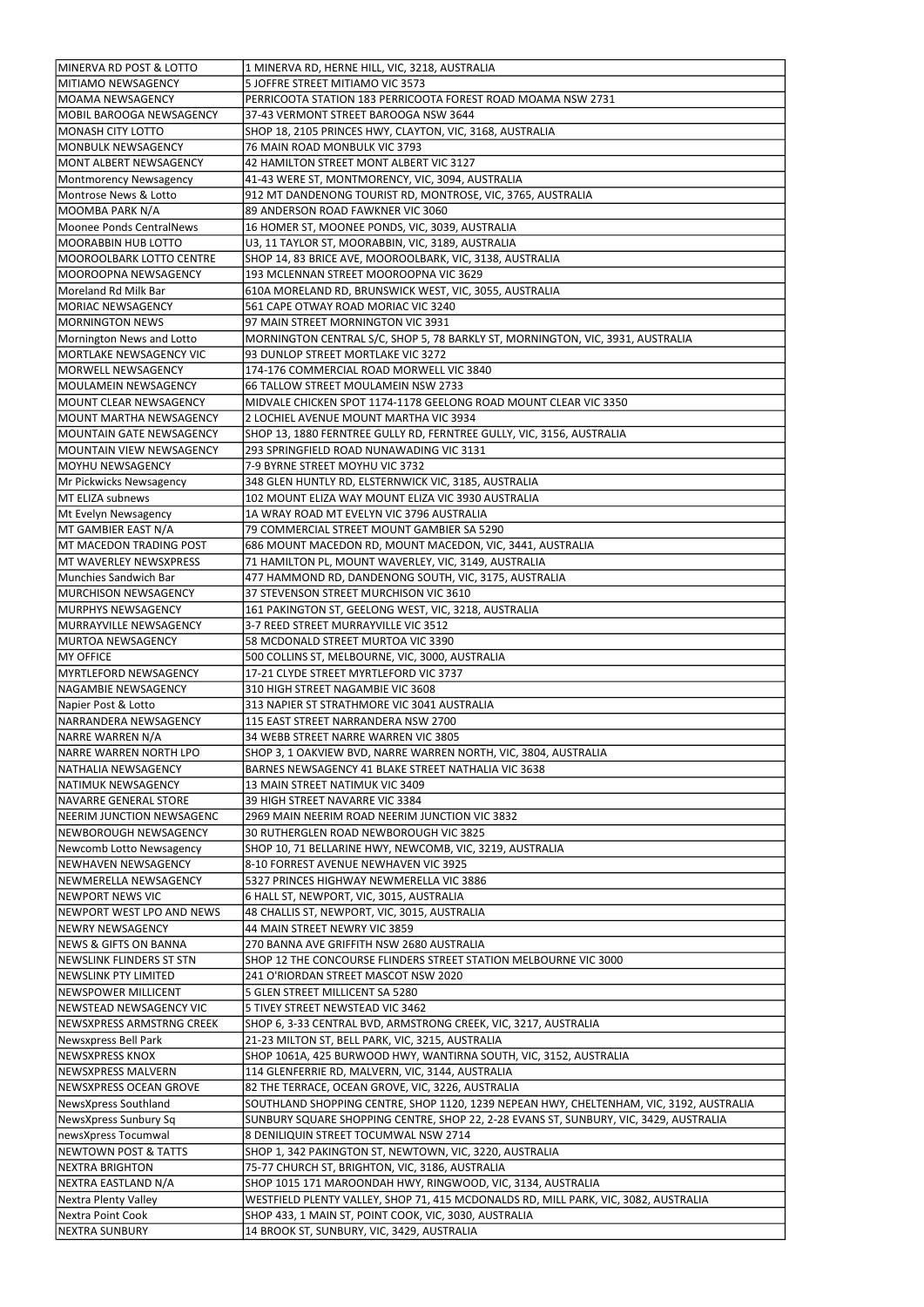| MINERVA RD POST & LOTTO                                                                                                                                                                                                                                | 1 MINERVA RD, HERNE HILL, VIC, 3218, AUSTRALIA                                                      |
|--------------------------------------------------------------------------------------------------------------------------------------------------------------------------------------------------------------------------------------------------------|-----------------------------------------------------------------------------------------------------|
| MITIAMO NEWSAGENCY                                                                                                                                                                                                                                     | 5 JOFFRE STREET MITIAMO VIC 3573                                                                    |
| lMOAMA NEWSAGENCY                                                                                                                                                                                                                                      | PERRICOOTA STATION 183 PERRICOOTA FOREST ROAD MOAMA NSW 2731                                        |
|                                                                                                                                                                                                                                                        |                                                                                                     |
| MOBIL BAROOGA NEWSAGENCY                                                                                                                                                                                                                               | 37-43 VERMONT STREET BAROOGA NSW 3644                                                               |
| MONASH CITY LOTTO                                                                                                                                                                                                                                      | SHOP 18, 2105 PRINCES HWY, CLAYTON, VIC, 3168, AUSTRALIA                                            |
| MONBULK NEWSAGENCY                                                                                                                                                                                                                                     | 76 MAIN ROAD MONBULK VIC 3793                                                                       |
| MONT ALBERT NEWSAGENCY                                                                                                                                                                                                                                 | 42 HAMILTON STREET MONT ALBERT VIC 3127                                                             |
| Montmorency Newsagency                                                                                                                                                                                                                                 | 41-43 WERE ST, MONTMORENCY, VIC, 3094, AUSTRALIA                                                    |
| Montrose News & Lotto                                                                                                                                                                                                                                  | 912 MT DANDENONG TOURIST RD, MONTROSE, VIC, 3765, AUSTRALIA                                         |
| MOOMBA PARK N/A                                                                                                                                                                                                                                        | 89 ANDERSON ROAD FAWKNER VIC 3060                                                                   |
| Moonee Ponds CentralNews                                                                                                                                                                                                                               | 16 HOMER ST, MOONEE PONDS, VIC, 3039, AUSTRALIA                                                     |
| <b>MOORABBIN HUB LOTTO</b>                                                                                                                                                                                                                             | U3, 11 TAYLOR ST, MOORABBIN, VIC, 3189, AUSTRALIA                                                   |
| MOOROOLBARK LOTTO CENTRE                                                                                                                                                                                                                               | SHOP 14, 83 BRICE AVE, MOOROOLBARK, VIC, 3138, AUSTRALIA                                            |
| MOOROOPNA NEWSAGENCY                                                                                                                                                                                                                                   | 193 MCLENNAN STREET MOOROOPNA VIC 3629                                                              |
| Moreland Rd Milk Bar                                                                                                                                                                                                                                   | 610A MORELAND RD, BRUNSWICK WEST, VIC, 3055, AUSTRALIA                                              |
| <b>MORIAC NEWSAGENCY</b>                                                                                                                                                                                                                               | 561 CAPE OTWAY ROAD MORIAC VIC 3240                                                                 |
| <b>MORNINGTON NEWS</b>                                                                                                                                                                                                                                 | 97 MAIN STREET MORNINGTON VIC 3931                                                                  |
|                                                                                                                                                                                                                                                        |                                                                                                     |
| Mornington News and Lotto                                                                                                                                                                                                                              | MORNINGTON CENTRAL S/C, SHOP 5, 78 BARKLY ST, MORNINGTON, VIC, 3931, AUSTRALIA                      |
| MORTLAKE NEWSAGENCY VIC                                                                                                                                                                                                                                | 93 DUNLOP STREET MORTLAKE VIC 3272                                                                  |
| MORWELL NEWSAGENCY                                                                                                                                                                                                                                     | 174-176 COMMERCIAL ROAD MORWELL VIC 3840                                                            |
| MOULAMEIN NEWSAGENCY                                                                                                                                                                                                                                   | 66 TALLOW STREET MOULAMEIN NSW 2733                                                                 |
| MOUNT CLEAR NEWSAGENCY                                                                                                                                                                                                                                 | MIDVALE CHICKEN SPOT 1174-1178 GEELONG ROAD MOUNT CLEAR VIC 3350                                    |
| MOUNT MARTHA NEWSAGENCY                                                                                                                                                                                                                                | 2 LOCHIEL AVENUE MOUNT MARTHA VIC 3934                                                              |
| MOUNTAIN GATE NEWSAGENCY                                                                                                                                                                                                                               | SHOP 13, 1880 FERNTREE GULLY RD, FERNTREE GULLY, VIC, 3156, AUSTRALIA                               |
| MOUNTAIN VIEW NEWSAGENCY                                                                                                                                                                                                                               | 293 SPRINGFIELD ROAD NUNAWADING VIC 3131                                                            |
| MOYHU NEWSAGENCY                                                                                                                                                                                                                                       | 7-9 BYRNE STREET MOYHU VIC 3732                                                                     |
| Mr Pickwicks Newsagency                                                                                                                                                                                                                                | 348 GLEN HUNTLY RD, ELSTERNWICK VIC, 3185, AUSTRALIA                                                |
| MT ELIZA subnews                                                                                                                                                                                                                                       | 102 MOUNT ELIZA WAY MOUNT ELIZA VIC 3930 AUSTRALIA                                                  |
| Mt Evelyn Newsagency                                                                                                                                                                                                                                   | 1A WRAY ROAD MT EVELYN VIC 3796 AUSTRALIA                                                           |
| MT GAMBIER EAST N/A                                                                                                                                                                                                                                    | 79 COMMERCIAL STREET MOUNT GAMBIER SA 5290                                                          |
| MT MACEDON TRADING POST                                                                                                                                                                                                                                | 686 MOUNT MACEDON RD, MOUNT MACEDON, VIC, 3441, AUSTRALIA                                           |
| MT WAVERLEY NEWSXPRESS                                                                                                                                                                                                                                 | 71 HAMILTON PL, MOUNT WAVERLEY, VIC, 3149, AUSTRALIA                                                |
| Munchies Sandwich Bar                                                                                                                                                                                                                                  | 477 HAMMOND RD, DANDENONG SOUTH, VIC, 3175, AUSTRALIA                                               |
| <b>IMURCHISON NEWSAGENCY</b>                                                                                                                                                                                                                           | 37 STEVENSON STREET MURCHISON VIC 3610                                                              |
| IMURPHYS NEWSAGENCY                                                                                                                                                                                                                                    | 161 PAKINGTON ST, GEELONG WEST, VIC, 3218, AUSTRALIA                                                |
| MURRAYVILLE NEWSAGENCY                                                                                                                                                                                                                                 | 3-7 REED STREET MURRAYVILLE VIC 3512                                                                |
| <b>MURTOA NEWSAGENCY</b>                                                                                                                                                                                                                               | 58 MCDONALD STREET MURTOA VIC 3390                                                                  |
|                                                                                                                                                                                                                                                        | 500 COLLINS ST, MELBOURNE, VIC, 3000, AUSTRALIA                                                     |
|                                                                                                                                                                                                                                                        |                                                                                                     |
| MY OFFICE                                                                                                                                                                                                                                              |                                                                                                     |
| MYRTLEFORD NEWSAGENCY                                                                                                                                                                                                                                  | 17-21 CLYDE STREET MYRTLEFORD VIC 3737                                                              |
| NAGAMBIE NEWSAGENCY                                                                                                                                                                                                                                    | 310 HIGH STREET NAGAMBIE VIC 3608                                                                   |
|                                                                                                                                                                                                                                                        | 313 NAPIER ST STRATHMORE VIC 3041 AUSTRALIA                                                         |
| INARRANDERA NEWSAGENCY                                                                                                                                                                                                                                 | 115 EAST STREET NARRANDERA NSW 2700                                                                 |
| NARRE WARREN N/A                                                                                                                                                                                                                                       | 34 WEBB STREET NARRE WARREN VIC 3805                                                                |
| NARRE WARREN NORTH LPO                                                                                                                                                                                                                                 | SHOP 3, 1 OAKVIEW BVD, NARRE WARREN NORTH, VIC, 3804, AUSTRALIA                                     |
| NATHALIA NEWSAGENCY                                                                                                                                                                                                                                    | BARNES NEWSAGENCY 41 BLAKE STREET NATHALIA VIC 3638                                                 |
|                                                                                                                                                                                                                                                        | 13 MAIN STREET NATIMUK VIC 3409                                                                     |
| NAVARRE GENERAL STORE                                                                                                                                                                                                                                  | 39 HIGH STREET NAVARRE VIC 3384                                                                     |
|                                                                                                                                                                                                                                                        | 2969 MAIN NEERIM ROAD NEERIM JUNCTION VIC 3832                                                      |
| NEWBOROUGH NEWSAGENCY                                                                                                                                                                                                                                  | 30 RUTHERGLEN ROAD NEWBOROUGH VIC 3825                                                              |
| Newcomb Lotto Newsagency                                                                                                                                                                                                                               | SHOP 10, 71 BELLARINE HWY, NEWCOMB, VIC, 3219, AUSTRALIA                                            |
| NEWHAVEN NEWSAGENCY                                                                                                                                                                                                                                    | 8-10 FORREST AVENUE NEWHAVEN VIC 3925                                                               |
| NEWMERELLA NEWSAGENCY                                                                                                                                                                                                                                  | 5327 PRINCES HIGHWAY NEWMERELLA VIC 3886                                                            |
|                                                                                                                                                                                                                                                        | 6 HALL ST, NEWPORT, VIC, 3015, AUSTRALIA                                                            |
| NEWPORT WEST LPO AND NEWS                                                                                                                                                                                                                              | 48 CHALLIS ST, NEWPORT, VIC, 3015, AUSTRALIA                                                        |
|                                                                                                                                                                                                                                                        | 44 MAIN STREET NEWRY VIC 3859                                                                       |
| <b>NEWS &amp; GIFTS ON BANNA</b>                                                                                                                                                                                                                       | 270 BANNA AVE GRIFFITH NSW 2680 AUSTRALIA                                                           |
| NEWSLINK FLINDERS ST STN                                                                                                                                                                                                                               | SHOP 12 THE CONCOURSE FLINDERS STREET STATION MELBOURNE VIC 3000                                    |
|                                                                                                                                                                                                                                                        | 241 O'RIORDAN STREET MASCOT NSW 2020                                                                |
|                                                                                                                                                                                                                                                        | 5 GLEN STREET MILLICENT SA 5280                                                                     |
|                                                                                                                                                                                                                                                        |                                                                                                     |
|                                                                                                                                                                                                                                                        | 5 TIVEY STREET NEWSTEAD VIC 3462                                                                    |
| NEWSXPRESS ARMSTRNG CREEK                                                                                                                                                                                                                              | SHOP 6, 3-33 CENTRAL BVD, ARMSTRONG CREEK, VIC, 3217, AUSTRALIA                                     |
|                                                                                                                                                                                                                                                        | 21-23 MILTON ST, BELL PARK, VIC, 3215, AUSTRALIA                                                    |
| NEWSXPRESS KNOX                                                                                                                                                                                                                                        | SHOP 1061A, 425 BURWOOD HWY, WANTIRNA SOUTH, VIC, 3152, AUSTRALIA                                   |
| NEWSXPRESS MALVERN                                                                                                                                                                                                                                     | 114 GLENFERRIE RD, MALVERN, VIC, 3144, AUSTRALIA                                                    |
| NEWSXPRESS OCEAN GROVE                                                                                                                                                                                                                                 | 82 THE TERRACE, OCEAN GROVE, VIC, 3226, AUSTRALIA                                                   |
| NewsXpress Southland                                                                                                                                                                                                                                   | SOUTHLAND SHOPPING CENTRE, SHOP 1120, 1239 NEPEAN HWY, CHELTENHAM, VIC, 3192, AUSTRALIA             |
| NewsXpress Sunbury Sq                                                                                                                                                                                                                                  | SUNBURY SQUARE SHOPPING CENTRE, SHOP 22, 2-28 EVANS ST, SUNBURY, VIC, 3429, AUSTRALIA               |
| newsXpress Tocumwal                                                                                                                                                                                                                                    | 8 DENILIQUIN STREET TOCUMWAL NSW 2714                                                               |
| NEWTOWN POST & TATTS                                                                                                                                                                                                                                   | SHOP 1, 342 PAKINGTON ST, NEWTOWN, VIC, 3220, AUSTRALIA                                             |
| <b>NEXTRA BRIGHTON</b>                                                                                                                                                                                                                                 | 75-77 CHURCH ST, BRIGHTON, VIC, 3186, AUSTRALIA                                                     |
| Napier Post & Lotto<br>NATIMUK NEWSAGENCY<br>NEERIM JUNCTION NEWSAGENC<br>NEWPORT NEWS VIC<br>NEWRY NEWSAGENCY<br><b>INEWSLINK PTY LIMITED</b><br><b>NEWSPOWER MILLICENT</b><br>NEWSTEAD NEWSAGENCY VIC<br>Newsxpress Bell Park<br>NEXTRA EASTLAND N/A | SHOP 1015 171 MAROONDAH HWY, RINGWOOD, VIC, 3134, AUSTRALIA                                         |
| Nextra Plenty Valley                                                                                                                                                                                                                                   | WESTFIELD PLENTY VALLEY, SHOP 71, 415 MCDONALDS RD, MILL PARK, VIC, 3082, AUSTRALIA                 |
| Nextra Point Cook<br><b>NEXTRA SUNBURY</b>                                                                                                                                                                                                             | SHOP 433, 1 MAIN ST, POINT COOK, VIC, 3030, AUSTRALIA<br>14 BROOK ST, SUNBURY, VIC, 3429, AUSTRALIA |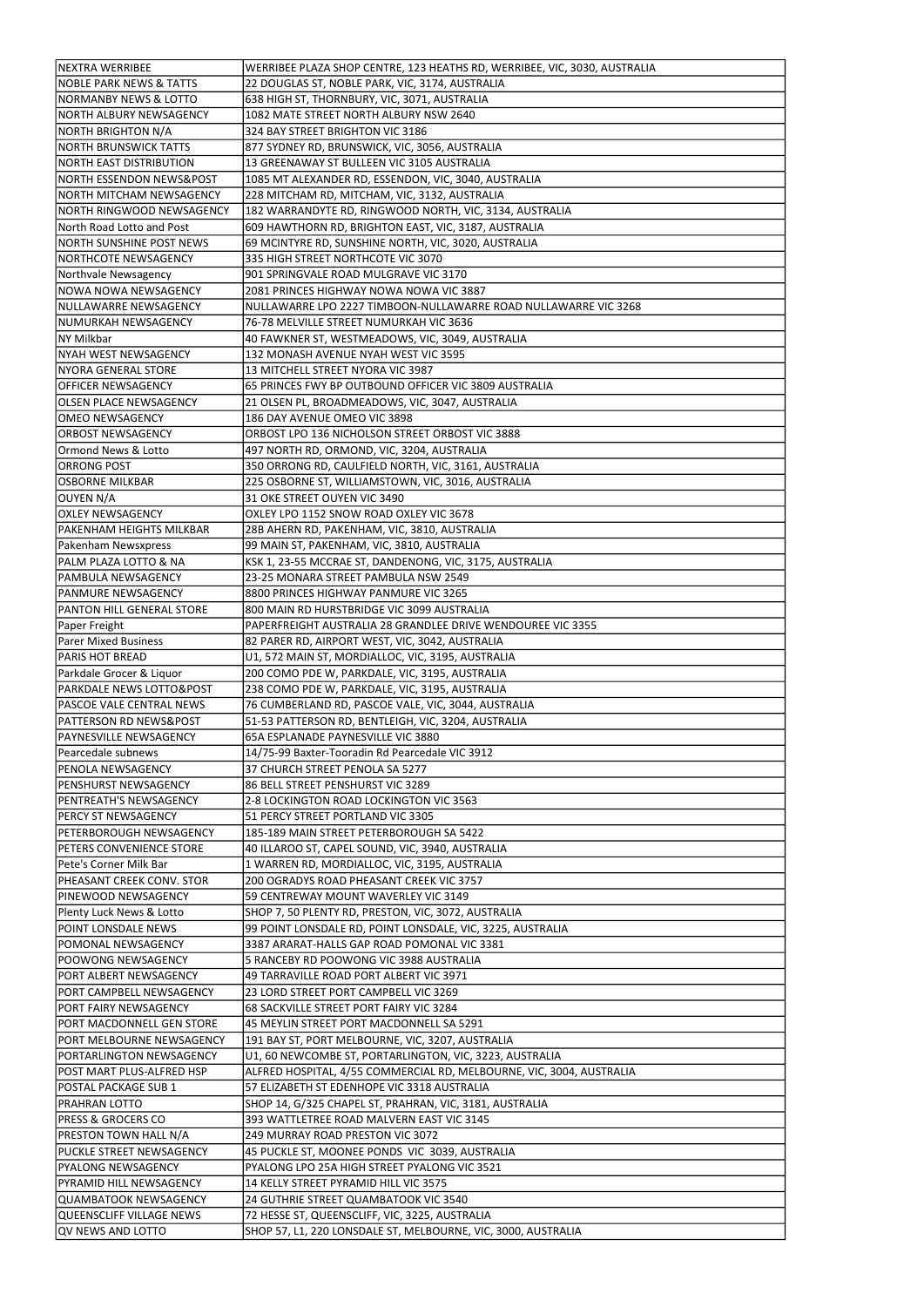| <b>NEXTRA WERRIBEE</b>                        | WERRIBEE PLAZA SHOP CENTRE, 123 HEATHS RD, WERRIBEE, VIC, 3030, AUSTRALIA                                       |
|-----------------------------------------------|-----------------------------------------------------------------------------------------------------------------|
| <b>NOBLE PARK NEWS &amp; TATTS</b>            | 22 DOUGLAS ST, NOBLE PARK, VIC, 3174, AUSTRALIA                                                                 |
| <b>NORMANBY NEWS &amp; LOTTO</b>              | 638 HIGH ST, THORNBURY, VIC, 3071, AUSTRALIA                                                                    |
| NORTH ALBURY NEWSAGENCY                       | 1082 MATE STREET NORTH ALBURY NSW 2640                                                                          |
| NORTH BRIGHTON N/A                            | 324 BAY STREET BRIGHTON VIC 3186                                                                                |
| INORTH BRUNSWICK TATTS                        | 877 SYDNEY RD, BRUNSWICK, VIC, 3056, AUSTRALIA                                                                  |
| NORTH EAST DISTRIBUTION                       | 13 GREENAWAY ST BULLEEN VIC 3105 AUSTRALIA                                                                      |
| INORTH ESSENDON NEWS&POST                     | 1085 MT ALEXANDER RD, ESSENDON, VIC, 3040, AUSTRALIA                                                            |
| NORTH MITCHAM NEWSAGENCY                      | 228 MITCHAM RD, MITCHAM, VIC, 3132, AUSTRALIA                                                                   |
| INORTH RINGWOOD NEWSAGENCY                    | 182 WARRANDYTE RD, RINGWOOD NORTH, VIC, 3134, AUSTRALIA                                                         |
|                                               |                                                                                                                 |
| North Road Lotto and Post                     | 609 HAWTHORN RD, BRIGHTON EAST, VIC, 3187, AUSTRALIA                                                            |
| <b>NORTH SUNSHINE POST NEWS</b>               | 69 MCINTYRE RD, SUNSHINE NORTH, VIC, 3020, AUSTRALIA                                                            |
| NORTHCOTE NEWSAGENCY                          | 335 HIGH STREET NORTHCOTE VIC 3070                                                                              |
| Northvale Newsagency                          | 901 SPRINGVALE ROAD MULGRAVE VIC 3170                                                                           |
| NOWA NOWA NEWSAGENCY                          | 2081 PRINCES HIGHWAY NOWA NOWA VIC 3887                                                                         |
| NULLAWARRE NEWSAGENCY                         | NULLAWARRE LPO 2227 TIMBOON-NULLAWARRE ROAD NULLAWARRE VIC 3268                                                 |
| NUMURKAH NEWSAGENCY                           | 76-78 MELVILLE STREET NUMURKAH VIC 3636                                                                         |
| NY Milkbar                                    | 40 FAWKNER ST, WESTMEADOWS, VIC, 3049, AUSTRALIA                                                                |
| <b>NYAH WEST NEWSAGENCY</b>                   | 132 MONASH AVENUE NYAH WEST VIC 3595                                                                            |
| NYORA GENERAL STORE                           | 13 MITCHELL STREET NYORA VIC 3987                                                                               |
| <b>OFFICER NEWSAGENCY</b>                     | 65 PRINCES FWY BP OUTBOUND OFFICER VIC 3809 AUSTRALIA                                                           |
| <b>OLSEN PLACE NEWSAGENCY</b>                 | 21 OLSEN PL, BROADMEADOWS, VIC, 3047, AUSTRALIA                                                                 |
| JOMEO NEWSAGENCY                              | 186 DAY AVENUE OMEO VIC 3898                                                                                    |
| <b>ORBOST NEWSAGENCY</b>                      | ORBOST LPO 136 NICHOLSON STREET ORBOST VIC 3888                                                                 |
| Ormond News & Lotto                           | 497 NORTH RD, ORMOND, VIC, 3204, AUSTRALIA                                                                      |
| <b>ORRONG POST</b>                            | 350 ORRONG RD, CAULFIELD NORTH, VIC, 3161, AUSTRALIA                                                            |
| <b>OSBORNE MILKBAR</b>                        | 225 OSBORNE ST, WILLIAMSTOWN, VIC, 3016, AUSTRALIA                                                              |
| OUYEN N/A                                     | 31 OKE STREET OUYEN VIC 3490                                                                                    |
| <b>OXLEY NEWSAGENCY</b>                       | OXLEY LPO 1152 SNOW ROAD OXLEY VIC 3678                                                                         |
| <b>PAKENHAM HEIGHTS MILKBAR</b>               | 28B AHERN RD, PAKENHAM, VIC, 3810, AUSTRALIA                                                                    |
| Pakenham Newsxpress                           | 99 MAIN ST, PAKENHAM, VIC, 3810, AUSTRALIA                                                                      |
| PALM PLAZA LOTTO & NA                         | KSK 1, 23-55 MCCRAE ST, DANDENONG, VIC, 3175, AUSTRALIA                                                         |
| PAMBULA NEWSAGENCY                            | 23-25 MONARA STREET PAMBULA NSW 2549                                                                            |
| <b>PANMURE NEWSAGENCY</b>                     | 8800 PRINCES HIGHWAY PANMURE VIC 3265                                                                           |
| <b>PANTON HILL GENERAL STORE</b>              | 800 MAIN RD HURSTBRIDGE VIC 3099 AUSTRALIA                                                                      |
| Paper Freight                                 | PAPERFREIGHT AUSTRALIA 28 GRANDLEE DRIVE WENDOUREE VIC 3355                                                     |
| <b>Parer Mixed Business</b>                   | 82 PARER RD, AIRPORT WEST, VIC, 3042, AUSTRALIA                                                                 |
|                                               |                                                                                                                 |
| <b>PARIS HOT BREAD</b>                        |                                                                                                                 |
|                                               | U1, 572 MAIN ST, MORDIALLOC, VIC, 3195, AUSTRALIA                                                               |
| Parkdale Grocer & Liquor                      | 200 COMO PDE W, PARKDALE, VIC, 3195, AUSTRALIA                                                                  |
| <b>PARKDALE NEWS LOTTO&amp;POST</b>           | 238 COMO PDE W, PARKDALE, VIC, 3195, AUSTRALIA                                                                  |
| <b>PASCOE VALE CENTRAL NEWS</b>               | 76 CUMBERLAND RD, PASCOE VALE, VIC, 3044, AUSTRALIA                                                             |
| <b>PATTERSON RD NEWS&amp;POST</b>             | 51-53 PATTERSON RD, BENTLEIGH, VIC, 3204, AUSTRALIA                                                             |
| <b>PAYNESVILLE NEWSAGENCY</b>                 | 65A ESPLANADE PAYNESVILLE VIC 3880                                                                              |
| Pearcedale subnews                            | 14/75-99 Baxter-Tooradin Rd Pearcedale VIC 3912                                                                 |
| <b>PENOLA NEWSAGENCY</b>                      | 37 CHURCH STREET PENOLA SA 5277                                                                                 |
| <b>PENSHURST NEWSAGENCY</b>                   | 86 BELL STREET PENSHURST VIC 3289                                                                               |
| <b>PENTREATH'S NEWSAGENCY</b>                 | 2-8 LOCKINGTON ROAD LOCKINGTON VIC 3563                                                                         |
| <b>PERCY ST NEWSAGENCY</b>                    | 51 PERCY STREET PORTLAND VIC 3305                                                                               |
| <b>PETERBOROUGH NEWSAGENCY</b>                | 185-189 MAIN STREET PETERBOROUGH SA 5422                                                                        |
| <b>PETERS CONVENIENCE STORE</b>               | 40 ILLAROO ST, CAPEL SOUND, VIC, 3940, AUSTRALIA                                                                |
| Pete's Corner Milk Bar                        | 1 WARREN RD, MORDIALLOC, VIC, 3195, AUSTRALIA                                                                   |
| <b>PHEASANT CREEK CONV. STOR</b>              | 200 OGRADYS ROAD PHEASANT CREEK VIC 3757                                                                        |
| <b>PINEWOOD NEWSAGENCY</b>                    | 59 CENTREWAY MOUNT WAVERLEY VIC 3149                                                                            |
| Plenty Luck News & Lotto                      | SHOP 7, 50 PLENTY RD, PRESTON, VIC, 3072, AUSTRALIA                                                             |
| POINT LONSDALE NEWS                           | 99 POINT LONSDALE RD, POINT LONSDALE, VIC, 3225, AUSTRALIA                                                      |
| POMONAL NEWSAGENCY                            | 3387 ARARAT-HALLS GAP ROAD POMONAL VIC 3381                                                                     |
| POOWONG NEWSAGENCY                            | 5 RANCEBY RD POOWONG VIC 3988 AUSTRALIA                                                                         |
| PORT ALBERT NEWSAGENCY                        | 49 TARRAVILLE ROAD PORT ALBERT VIC 3971                                                                         |
| PORT CAMPBELL NEWSAGENCY                      | 23 LORD STREET PORT CAMPBELL VIC 3269                                                                           |
| <b>PORT FAIRY NEWSAGENCY</b>                  | 68 SACKVILLE STREET PORT FAIRY VIC 3284                                                                         |
| PORT MACDONNELL GEN STORE                     | 45 MEYLIN STREET PORT MACDONNELL SA 5291                                                                        |
| PORT MELBOURNE NEWSAGENCY                     | 191 BAY ST, PORT MELBOURNE, VIC, 3207, AUSTRALIA                                                                |
| PORTARLINGTON NEWSAGENCY                      | U1, 60 NEWCOMBE ST, PORTARLINGTON, VIC, 3223, AUSTRALIA                                                         |
| POST MART PLUS-ALFRED HSP                     | ALFRED HOSPITAL, 4/55 COMMERCIAL RD, MELBOURNE, VIC, 3004, AUSTRALIA                                            |
| POSTAL PACKAGE SUB 1                          | 57 ELIZABETH ST EDENHOPE VIC 3318 AUSTRALIA                                                                     |
| PRAHRAN LOTTO                                 | SHOP 14, G/325 CHAPEL ST, PRAHRAN, VIC, 3181, AUSTRALIA                                                         |
| <b>PRESS &amp; GROCERS CO</b>                 | 393 WATTLETREE ROAD MALVERN EAST VIC 3145                                                                       |
| PRESTON TOWN HALL N/A                         | 249 MURRAY ROAD PRESTON VIC 3072                                                                                |
| PUCKLE STREET NEWSAGENCY                      | 45 PUCKLE ST, MOONEE PONDS VIC 3039, AUSTRALIA                                                                  |
| PYALONG NEWSAGENCY                            | PYALONG LPO 25A HIGH STREET PYALONG VIC 3521                                                                    |
| PYRAMID HILL NEWSAGENCY                       | 14 KELLY STREET PYRAMID HILL VIC 3575                                                                           |
| QUAMBATOOK NEWSAGENCY                         | 24 GUTHRIE STREET QUAMBATOOK VIC 3540                                                                           |
| QUEENSCLIFF VILLAGE NEWS<br>QV NEWS AND LOTTO | 72 HESSE ST, QUEENSCLIFF, VIC, 3225, AUSTRALIA<br>SHOP 57, L1, 220 LONSDALE ST, MELBOURNE, VIC, 3000, AUSTRALIA |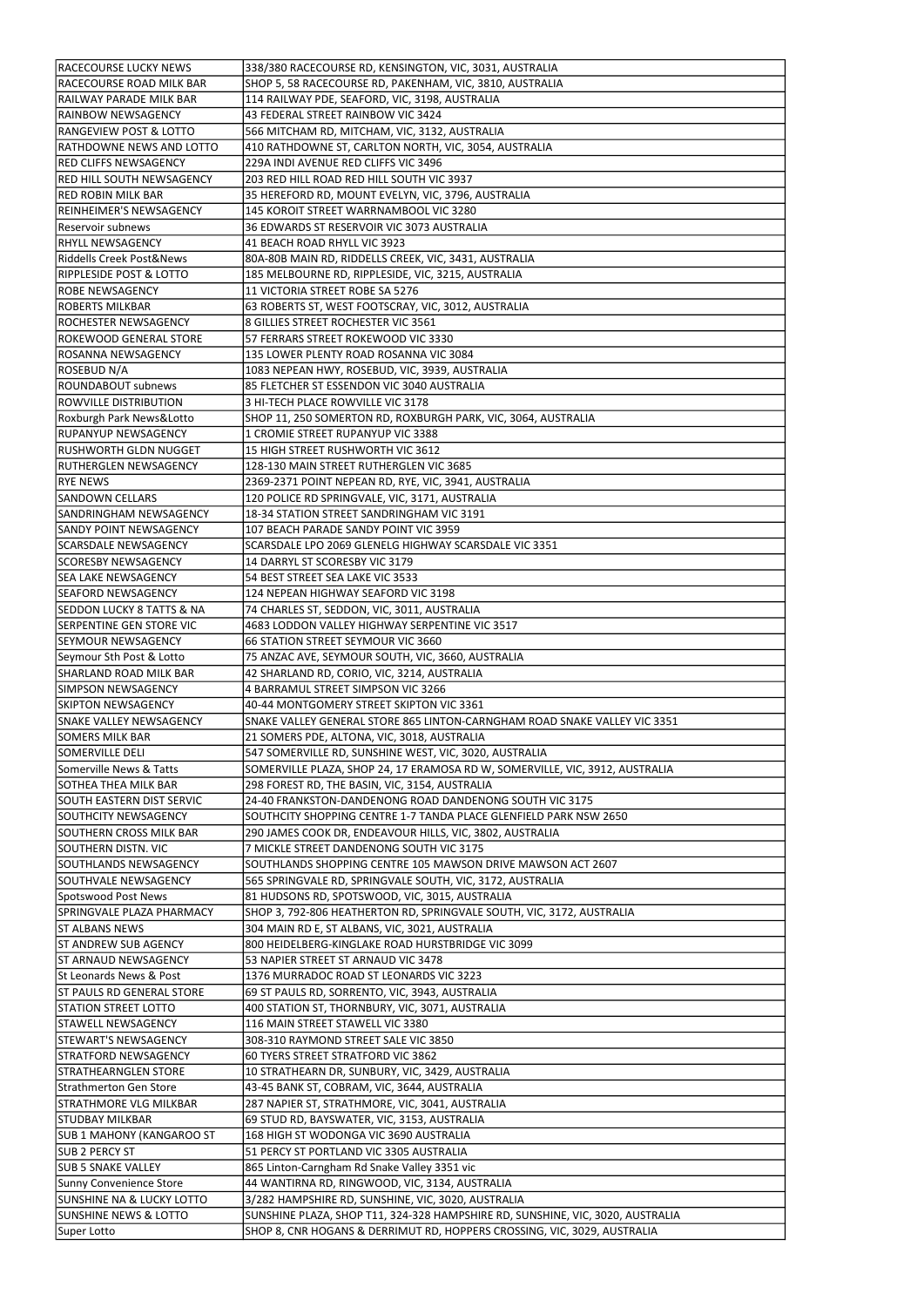| <b>RACECOURSE LUCKY NEWS</b>                        | 338/380 RACECOURSE RD, KENSINGTON, VIC, 3031, AUSTRALIA                                            |
|-----------------------------------------------------|----------------------------------------------------------------------------------------------------|
| RACECOURSE ROAD MILK BAR                            | SHOP 5, 58 RACECOURSE RD, PAKENHAM, VIC, 3810, AUSTRALIA                                           |
| RAILWAY PARADE MILK BAR                             | 114 RAILWAY PDE, SEAFORD, VIC, 3198, AUSTRALIA                                                     |
| <b>IRAINBOW NEWSAGENCY</b>                          | 43 FEDERAL STREET RAINBOW VIC 3424                                                                 |
| <b>RANGEVIEW POST &amp; LOTTO</b>                   | 566 MITCHAM RD, MITCHAM, VIC, 3132, AUSTRALIA                                                      |
| <b>RATHDOWNE NEWS AND LOTTO</b>                     | 410 RATHDOWNE ST, CARLTON NORTH, VIC, 3054, AUSTRALIA                                              |
| <b>RED CLIFFS NEWSAGENCY</b>                        | 229A INDI AVENUE RED CLIFFS VIC 3496                                                               |
| <b>RED HILL SOUTH NEWSAGENCY</b>                    | 203 RED HILL ROAD RED HILL SOUTH VIC 3937                                                          |
| <b>IRED ROBIN MILK BAR</b>                          | 35 HEREFORD RD, MOUNT EVELYN, VIC, 3796, AUSTRALIA                                                 |
| <b>REINHEIMER'S NEWSAGENCY</b>                      | 145 KOROIT STREET WARRNAMBOOL VIC 3280                                                             |
| <b>IReservoir subnews</b>                           | 36 EDWARDS ST RESERVOIR VIC 3073 AUSTRALIA                                                         |
| <b>RHYLL NEWSAGENCY</b>                             | 41 BEACH ROAD RHYLL VIC 3923                                                                       |
| Riddells Creek Post&News                            | 80A-80B MAIN RD, RIDDELLS CREEK, VIC, 3431, AUSTRALIA                                              |
| IRIPPLESIDE POST & LOTTO                            | 185 MELBOURNE RD, RIPPLESIDE, VIC, 3215, AUSTRALIA                                                 |
| <b>ROBE NEWSAGENCY</b>                              | 11 VICTORIA STREET ROBE SA 5276                                                                    |
| ROBERTS MILKBAR                                     | 63 ROBERTS ST, WEST FOOTSCRAY, VIC, 3012, AUSTRALIA                                                |
| ROCHESTER NEWSAGENCY                                | 8 GILLIES STREET ROCHESTER VIC 3561                                                                |
| ROKEWOOD GENERAL STORE                              | 57 FERRARS STREET ROKEWOOD VIC 3330                                                                |
| ROSANNA NEWSAGENCY                                  | 135 LOWER PLENTY ROAD ROSANNA VIC 3084                                                             |
| ROSEBUD N/A                                         | 1083 NEPEAN HWY, ROSEBUD, VIC, 3939, AUSTRALIA                                                     |
| ROUNDABOUT subnews                                  | 85 FLETCHER ST ESSENDON VIC 3040 AUSTRALIA                                                         |
|                                                     |                                                                                                    |
| ROWVILLE DISTRIBUTION                               | 3 HI-TECH PLACE ROWVILLE VIC 3178                                                                  |
| Roxburgh Park News&Lotto                            | SHOP 11, 250 SOMERTON RD, ROXBURGH PARK, VIC, 3064, AUSTRALIA<br>1 CROMIE STREET RUPANYUP VIC 3388 |
| <b>IRUPANYUP NEWSAGENCY</b>                         |                                                                                                    |
| <b>RUSHWORTH GLDN NUGGET</b>                        | 15 HIGH STREET RUSHWORTH VIC 3612                                                                  |
| RUTHERGLEN NEWSAGENCY                               | 128-130 MAIN STREET RUTHERGLEN VIC 3685                                                            |
| <b>RYE NEWS</b>                                     | 2369-2371 POINT NEPEAN RD, RYE, VIC, 3941, AUSTRALIA                                               |
| <b>SANDOWN CELLARS</b>                              | 120 POLICE RD SPRINGVALE, VIC, 3171, AUSTRALIA                                                     |
| SANDRINGHAM NEWSAGENCY                              | 18-34 STATION STREET SANDRINGHAM VIC 3191                                                          |
| <b>SANDY POINT NEWSAGENCY</b>                       | 107 BEACH PARADE SANDY POINT VIC 3959                                                              |
| SCARSDALE NEWSAGENCY                                | SCARSDALE LPO 2069 GLENELG HIGHWAY SCARSDALE VIC 3351                                              |
| <b>SCORESBY NEWSAGENCY</b>                          | 14 DARRYL ST SCORESBY VIC 3179                                                                     |
| <b>SEA LAKE NEWSAGENCY</b>                          | 54 BEST STREET SEA LAKE VIC 3533                                                                   |
| <b>SEAFORD NEWSAGENCY</b>                           | 124 NEPEAN HIGHWAY SEAFORD VIC 3198                                                                |
| <b>SEDDON LUCKY 8 TATTS &amp; NA</b>                | 74 CHARLES ST, SEDDON, VIC, 3011, AUSTRALIA                                                        |
| <b>SERPENTINE GEN STORE VIC</b>                     | 4683 LODDON VALLEY HIGHWAY SERPENTINE VIC 3517                                                     |
| lseymour newsagency                                 | 66 STATION STREET SEYMOUR VIC 3660                                                                 |
| Seymour Sth Post & Lotto                            | 75 ANZAC AVE, SEYMOUR SOUTH, VIC, 3660, AUSTRALIA                                                  |
|                                                     |                                                                                                    |
| ISHARLAND ROAD MILK BAR                             | 42 SHARLAND RD, CORIO, VIC, 3214, AUSTRALIA                                                        |
| ISIMPSON NEWSAGENCY                                 | 4 BARRAMUL STREET SIMPSON VIC 3266                                                                 |
| <b>SKIPTON NEWSAGENCY</b>                           | 40-44 MONTGOMERY STREET SKIPTON VIC 3361                                                           |
| <b>SNAKE VALLEY NEWSAGENCY</b>                      | SNAKE VALLEY GENERAL STORE 865 LINTON-CARNGHAM ROAD SNAKE VALLEY VIC 3351                          |
| <b>SOMERS MILK BAR</b>                              | 21 SOMERS PDE, ALTONA, VIC, 3018, AUSTRALIA                                                        |
| <b>SOMERVILLE DELI</b>                              | 547 SOMERVILLE RD, SUNSHINE WEST, VIC, 3020, AUSTRALIA                                             |
| Somerville News & Tatts                             | SOMERVILLE PLAZA, SHOP 24, 17 ERAMOSA RD W, SOMERVILLE, VIC, 3912, AUSTRALIA                       |
| SOTHEA THEA MILK BAR                                | 298 FOREST RD, THE BASIN, VIC, 3154, AUSTRALIA                                                     |
| SOUTH EASTERN DIST SERVIC                           | 24-40 FRANKSTON-DANDENONG ROAD DANDENONG SOUTH VIC 3175                                            |
| SOUTHCITY NEWSAGENCY                                | SOUTHCITY SHOPPING CENTRE 1-7 TANDA PLACE GLENFIELD PARK NSW 2650                                  |
| SOUTHERN CROSS MILK BAR                             | 290 JAMES COOK DR, ENDEAVOUR HILLS, VIC, 3802, AUSTRALIA                                           |
| SOUTHERN DISTN. VIC                                 | 7 MICKLE STREET DANDENONG SOUTH VIC 3175                                                           |
| SOUTHLANDS NEWSAGENCY                               | SOUTHLANDS SHOPPING CENTRE 105 MAWSON DRIVE MAWSON ACT 2607                                        |
| SOUTHVALE NEWSAGENCY                                | 565 SPRINGVALE RD, SPRINGVALE SOUTH, VIC, 3172, AUSTRALIA                                          |
| Spotswood Post News                                 | 81 HUDSONS RD, SPOTSWOOD, VIC, 3015, AUSTRALIA                                                     |
| SPRINGVALE PLAZA PHARMACY                           | SHOP 3, 792-806 HEATHERTON RD, SPRINGVALE SOUTH, VIC, 3172, AUSTRALIA                              |
| <b>ST ALBANS NEWS</b>                               | 304 MAIN RD E, ST ALBANS, VIC, 3021, AUSTRALIA                                                     |
| <b>ST ANDREW SUB AGENCY</b>                         | 800 HEIDELBERG-KINGLAKE ROAD HURSTBRIDGE VIC 3099                                                  |
| <b>IST ARNAUD NEWSAGENCY</b>                        | 53 NAPIER STREET ST ARNAUD VIC 3478                                                                |
| St Leonards News & Post                             | 1376 MURRADOC ROAD ST LEONARDS VIC 3223                                                            |
| <b>ST PAULS RD GENERAL STORE</b>                    | 69 ST PAULS RD, SORRENTO, VIC, 3943, AUSTRALIA                                                     |
| <b>STATION STREET LOTTO</b>                         | 400 STATION ST, THORNBURY, VIC, 3071, AUSTRALIA                                                    |
| <b>STAWELL NEWSAGENCY</b>                           | 116 MAIN STREET STAWELL VIC 3380                                                                   |
|                                                     | 308-310 RAYMOND STREET SALE VIC 3850                                                               |
| STRATFORD NEWSAGENCY                                | 60 TYERS STREET STRATFORD VIC 3862                                                                 |
| <b>STEWART'S NEWSAGENCY</b><br>STRATHEARNGLEN STORE | 10 STRATHEARN DR, SUNBURY, VIC, 3429, AUSTRALIA                                                    |
| Strathmerton Gen Store                              | 43-45 BANK ST, COBRAM, VIC, 3644, AUSTRALIA                                                        |
| STRATHMORE VLG MILKBAR                              | 287 NAPIER ST, STRATHMORE, VIC, 3041, AUSTRALIA                                                    |
| STUDBAY MILKBAR                                     | 69 STUD RD, BAYSWATER, VIC, 3153, AUSTRALIA                                                        |
| <b>SUB 1 MAHONY (KANGAROO ST)</b>                   | 168 HIGH ST WODONGA VIC 3690 AUSTRALIA                                                             |
| SUB 2 PERCY ST                                      | 51 PERCY ST PORTLAND VIC 3305 AUSTRALIA                                                            |
| <b>SUB 5 SNAKE VALLEY</b>                           | 865 Linton-Carngham Rd Snake Valley 3351 vic                                                       |
| Sunny Convenience Store                             | 44 WANTIRNA RD, RINGWOOD, VIC, 3134, AUSTRALIA                                                     |
| <b>SUNSHINE NA &amp; LUCKY LOTTO</b>                | 3/282 HAMPSHIRE RD, SUNSHINE, VIC, 3020, AUSTRALIA                                                 |
| <b>SUNSHINE NEWS &amp; LOTTO</b>                    | SUNSHINE PLAZA, SHOP T11, 324-328 HAMPSHIRE RD, SUNSHINE, VIC, 3020, AUSTRALIA                     |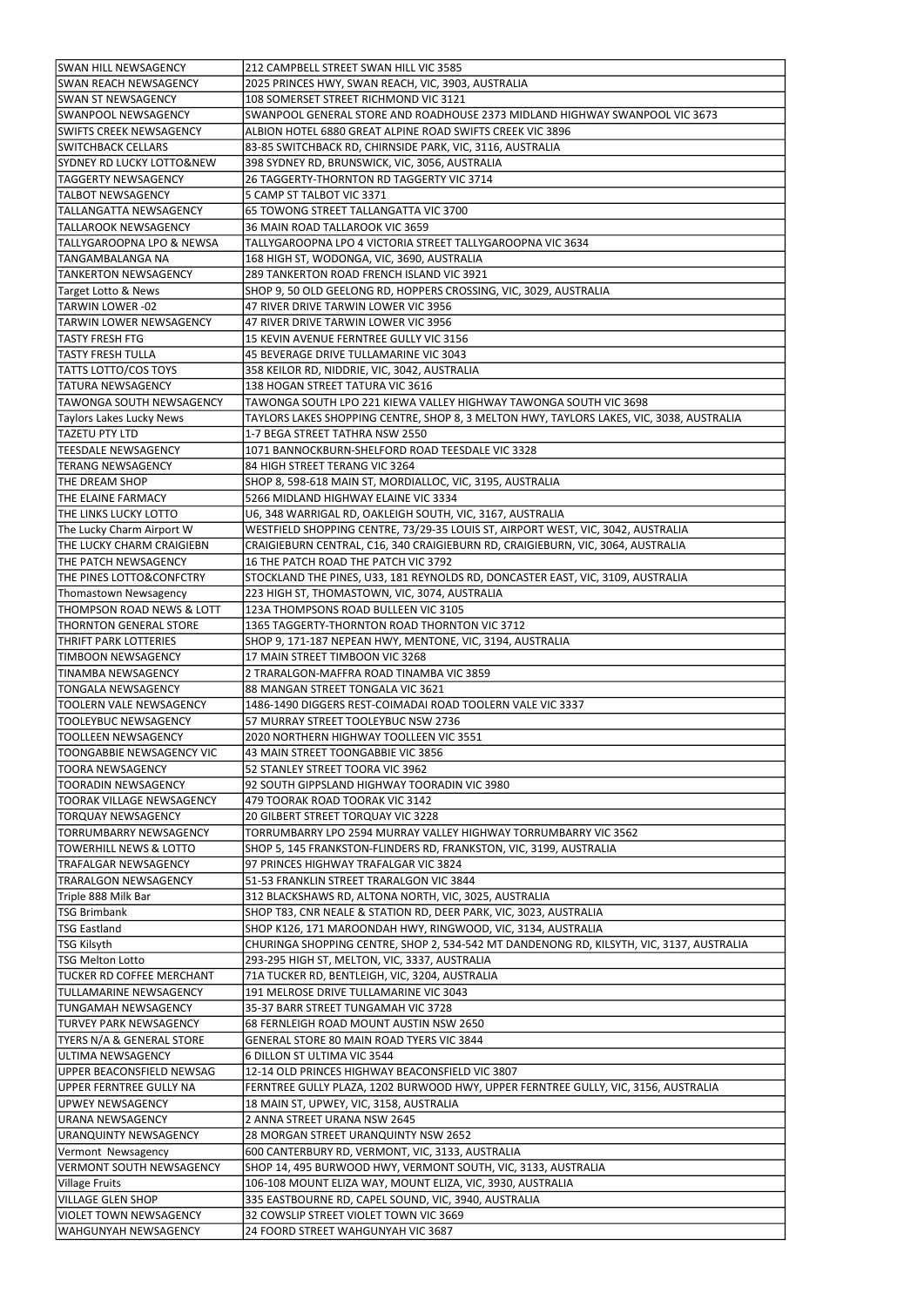| <b>SWAN HILL NEWSAGENCY</b>          | 212 CAMPBELL STREET SWAN HILL VIC 3585                                                   |
|--------------------------------------|------------------------------------------------------------------------------------------|
| <b>SWAN REACH NEWSAGENCY</b>         | 2025 PRINCES HWY, SWAN REACH, VIC, 3903, AUSTRALIA                                       |
| <b>SWAN ST NEWSAGENCY</b>            | 108 SOMERSET STREET RICHMOND VIC 3121                                                    |
|                                      |                                                                                          |
| lswanpool newsagency                 | SWANPOOL GENERAL STORE AND ROADHOUSE 2373 MIDLAND HIGHWAY SWANPOOL VIC 3673              |
| SWIFTS CREEK NEWSAGENCY              | ALBION HOTEL 6880 GREAT ALPINE ROAD SWIFTS CREEK VIC 3896                                |
| <b>SWITCHBACK CELLARS</b>            | 83-85 SWITCHBACK RD, CHIRNSIDE PARK, VIC, 3116, AUSTRALIA                                |
| SYDNEY RD LUCKY LOTTO&NEW            | 398 SYDNEY RD, BRUNSWICK, VIC, 3056, AUSTRALIA                                           |
| <b>TAGGERTY NEWSAGENCY</b>           | 26 TAGGERTY-THORNTON RD TAGGERTY VIC 3714                                                |
| <b>TALBOT NEWSAGENCY</b>             | 5 CAMP ST TALBOT VIC 3371                                                                |
| TALLANGATTA NEWSAGENCY               | 65 TOWONG STREET TALLANGATTA VIC 3700                                                    |
| <b>TALLAROOK NEWSAGENCY</b>          | 36 MAIN ROAD TALLAROOK VIC 3659                                                          |
| TALLYGAROOPNA LPO & NEWSA            | TALLYGAROOPNA LPO 4 VICTORIA STREET TALLYGAROOPNA VIC 3634                               |
| <b>TANGAMBALANGA NA</b>              | 168 HIGH ST, WODONGA, VIC, 3690, AUSTRALIA                                               |
| <b>TANKERTON NEWSAGENCY</b>          | 289 TANKERTON ROAD FRENCH ISLAND VIC 3921                                                |
| Target Lotto & News                  | SHOP 9, 50 OLD GEELONG RD, HOPPERS CROSSING, VIC, 3029, AUSTRALIA                        |
| <b>TARWIN LOWER -02</b>              | 47 RIVER DRIVE TARWIN LOWER VIC 3956                                                     |
| <b>TARWIN LOWER NEWSAGENCY</b>       | 47 RIVER DRIVE TARWIN LOWER VIC 3956                                                     |
|                                      |                                                                                          |
| <b>TASTY FRESH FTG</b>               | 15 KEVIN AVENUE FERNTREE GULLY VIC 3156                                                  |
| TASTY FRESH TULLA                    | 45 BEVERAGE DRIVE TULLAMARINE VIC 3043                                                   |
| <b>TATTS LOTTO/COS TOYS</b>          | 358 KEILOR RD, NIDDRIE, VIC, 3042, AUSTRALIA                                             |
| <b>TATURA NEWSAGENCY</b>             | 138 HOGAN STREET TATURA VIC 3616                                                         |
| TAWONGA SOUTH NEWSAGENCY             | TAWONGA SOUTH LPO 221 KIEWA VALLEY HIGHWAY TAWONGA SOUTH VIC 3698                        |
| <b>Taylors Lakes Lucky News</b>      | TAYLORS LAKES SHOPPING CENTRE, SHOP 8, 3 MELTON HWY, TAYLORS LAKES, VIC, 3038, AUSTRALIA |
| <b>TAZETU PTY LTD</b>                | 1-7 BEGA STREET TATHRA NSW 2550                                                          |
| <b>TEESDALE NEWSAGENCY</b>           | 1071 BANNOCKBURN-SHELFORD ROAD TEESDALE VIC 3328                                         |
| <b>TERANG NEWSAGENCY</b>             | 84 HIGH STREET TERANG VIC 3264                                                           |
| <b>THE DREAM SHOP</b>                | SHOP 8, 598-618 MAIN ST, MORDIALLOC, VIC, 3195, AUSTRALIA                                |
| <b>THE ELAINE FARMACY</b>            | 5266 MIDLAND HIGHWAY ELAINE VIC 3334                                                     |
| THE LINKS LUCKY LOTTO                | U6, 348 WARRIGAL RD, OAKLEIGH SOUTH, VIC, 3167, AUSTRALIA                                |
| The Lucky Charm Airport W            | WESTFIELD SHOPPING CENTRE, 73/29-35 LOUIS ST, AIRPORT WEST, VIC, 3042, AUSTRALIA         |
| <b>THE LUCKY CHARM CRAIGIEBN</b>     | CRAIGIEBURN CENTRAL, C16, 340 CRAIGIEBURN RD, CRAIGIEBURN, VIC, 3064, AUSTRALIA          |
| THE PATCH NEWSAGENCY                 | 16 THE PATCH ROAD THE PATCH VIC 3792                                                     |
| <b>THE PINES LOTTO&amp;CONFCTRY</b>  | STOCKLAND THE PINES, U33, 181 REYNOLDS RD, DONCASTER EAST, VIC, 3109, AUSTRALIA          |
| Thomastown Newsagency                | 223 HIGH ST, THOMASTOWN, VIC, 3074, AUSTRALIA                                            |
| THOMPSON ROAD NEWS & LOTT            | 123A THOMPSONS ROAD BULLEEN VIC 3105                                                     |
| <b>THORNTON GENERAL STORE</b>        | 1365 TAGGERTY-THORNTON ROAD THORNTON VIC 3712                                            |
| THRIFT PARK LOTTERIES                | SHOP 9, 171-187 NEPEAN HWY, MENTONE, VIC, 3194, AUSTRALIA                                |
| <b>TIMBOON NEWSAGENCY</b>            | 17 MAIN STREET TIMBOON VIC 3268                                                          |
| <b>TINAMBA NEWSAGENCY</b>            | 2 TRARALGON-MAFFRA ROAD TINAMBA VIC 3859                                                 |
| <b>TONGALA NEWSAGENCY</b>            | 88 MANGAN STREET TONGALA VIC 3621                                                        |
|                                      |                                                                                          |
| <b>TOOLERN VALE NEWSAGENCY</b>       | 1486-1490 DIGGERS REST-COIMADAI ROAD TOOLERN VALE VIC 3337                               |
| <b>TOOLEYBUC NEWSAGENCY</b>          | 57 MURRAY STREET TOOLEYBUC NSW 2736                                                      |
| <b>TOOLLEEN NEWSAGENCY</b>           | 2020 NORTHERN HIGHWAY TOOLLEEN VIC 3551                                                  |
| TOONGABBIE NEWSAGENCY VIC            | 43 MAIN STREET TOONGABBIE VIC 3856                                                       |
| <b>TOORA NEWSAGENCY</b>              | 52 STANLEY STREET TOORA VIC 3962                                                         |
| <b>TOORADIN NEWSAGENCY</b>           | 92 SOUTH GIPPSLAND HIGHWAY TOORADIN VIC 3980                                             |
| <b>TOORAK VILLAGE NEWSAGENCY</b>     | 479 TOORAK ROAD TOORAK VIC 3142                                                          |
| <b>TORQUAY NEWSAGENCY</b>            | 20 GILBERT STREET TORQUAY VIC 3228                                                       |
| <b>TORRUMBARRY NEWSAGENCY</b>        | TORRUMBARRY LPO 2594 MURRAY VALLEY HIGHWAY TORRUMBARRY VIC 3562                          |
| TOWERHILL NEWS & LOTTO               | SHOP 5, 145 FRANKSTON-FLINDERS RD, FRANKSTON, VIC, 3199, AUSTRALIA                       |
| TRAFALGAR NEWSAGENCY                 | 97 PRINCES HIGHWAY TRAFALGAR VIC 3824                                                    |
| <b>TRARALGON NEWSAGENCY</b>          | 51-53 FRANKLIN STREET TRARALGON VIC 3844                                                 |
| Triple 888 Milk Bar                  | 312 BLACKSHAWS RD, ALTONA NORTH, VIC, 3025, AUSTRALIA                                    |
| <b>TSG Brimbank</b>                  | SHOP T83, CNR NEALE & STATION RD, DEER PARK, VIC, 3023, AUSTRALIA                        |
| <b>TSG Eastland</b>                  | SHOP K126, 171 MAROONDAH HWY, RINGWOOD, VIC, 3134, AUSTRALIA                             |
| TSG Kilsyth                          | CHURINGA SHOPPING CENTRE, SHOP 2, 534-542 MT DANDENONG RD, KILSYTH, VIC, 3137, AUSTRALIA |
| <b>TSG Melton Lotto</b>              | 293-295 HIGH ST, MELTON, VIC, 3337, AUSTRALIA                                            |
| <b>TUCKER RD COFFEE MERCHANT</b>     | 71A TUCKER RD, BENTLEIGH, VIC, 3204, AUSTRALIA                                           |
| <b>TULLAMARINE NEWSAGENCY</b>        | 191 MELROSE DRIVE TULLAMARINE VIC 3043                                                   |
| <b>TUNGAMAH NEWSAGENCY</b>           | 35-37 BARR STREET TUNGAMAH VIC 3728                                                      |
| <b>TURVEY PARK NEWSAGENCY</b>        | 68 FERNLEIGH ROAD MOUNT AUSTIN NSW 2650                                                  |
| <b>TYERS N/A &amp; GENERAL STORE</b> | <b>GENERAL STORE 80 MAIN ROAD TYERS VIC 3844</b>                                         |
| JULTIMA NEWSAGENCY                   | 6 DILLON ST ULTIMA VIC 3544                                                              |
| UPPER BEACONSFIELD NEWSAG            | 12-14 OLD PRINCES HIGHWAY BEACONSFIELD VIC 3807                                          |
| UPPER FERNTREE GULLY NA              | FERNTREE GULLY PLAZA, 1202 BURWOOD HWY, UPPER FERNTREE GULLY, VIC, 3156, AUSTRALIA       |
| UPWEY NEWSAGENCY                     | 18 MAIN ST, UPWEY, VIC, 3158, AUSTRALIA                                                  |
| URANA NEWSAGENCY                     | 2 ANNA STREET URANA NSW 2645                                                             |
| URANQUINTY NEWSAGENCY                | 28 MORGAN STREET URANQUINTY NSW 2652                                                     |
|                                      |                                                                                          |
| Vermont Newsagency                   | 600 CANTERBURY RD, VERMONT, VIC, 3133, AUSTRALIA                                         |
| <b>VERMONT SOUTH NEWSAGENCY</b>      | SHOP 14, 495 BURWOOD HWY, VERMONT SOUTH, VIC, 3133, AUSTRALIA                            |
| <b>Village Fruits</b>                | 106-108 MOUNT ELIZA WAY, MOUNT ELIZA, VIC, 3930, AUSTRALIA                               |
| <b>VILLAGE GLEN SHOP</b>             | 335 EASTBOURNE RD, CAPEL SOUND, VIC, 3940, AUSTRALIA                                     |
| <b>VIOLET TOWN NEWSAGENCY</b>        | 32 COWSLIP STREET VIOLET TOWN VIC 3669                                                   |
| WAHGUNYAH NEWSAGENCY                 | 24 FOORD STREET WAHGUNYAH VIC 3687                                                       |